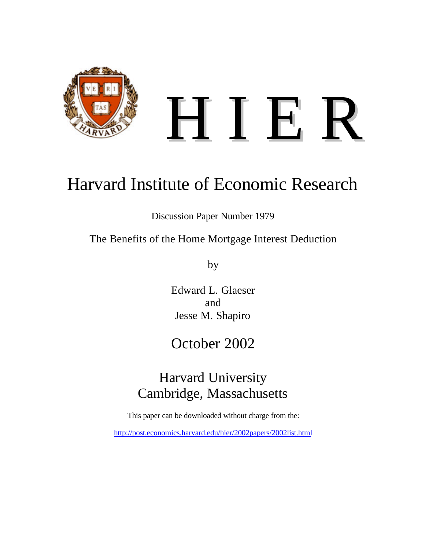

# Harvard Institute of Economic Research

Discussion Paper Number 1979

The Benefits of the Home Mortgage Interest Deduction

by

Edward L. Glaeser and Jesse M. Shapiro

## October 2002

## Harvard University Cambridge, Massachusetts

This paper can be downloaded without charge from the:

http://post.economics.harvard.edu/hier/2002papers/2002list.html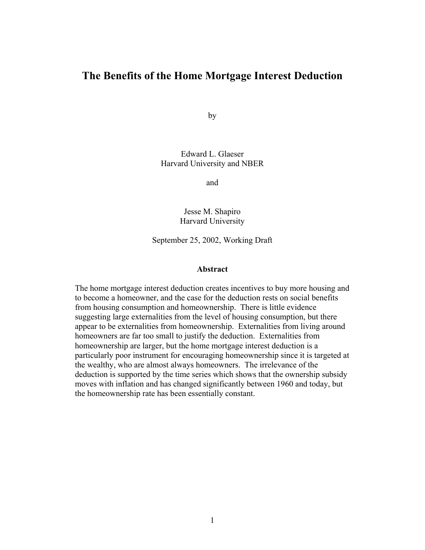### **The Benefits of the Home Mortgage Interest Deduction**

by

Edward L. Glaeser Harvard University and NBER

and

Jesse M. Shapiro Harvard University

September 25, 2002, Working Draft

#### **Abstract**

The home mortgage interest deduction creates incentives to buy more housing and to become a homeowner, and the case for the deduction rests on social benefits from housing consumption and homeownership. There is little evidence suggesting large externalities from the level of housing consumption, but there appear to be externalities from homeownership. Externalities from living around homeowners are far too small to justify the deduction. Externalities from homeownership are larger, but the home mortgage interest deduction is a particularly poor instrument for encouraging homeownership since it is targeted at the wealthy, who are almost always homeowners. The irrelevance of the deduction is supported by the time series which shows that the ownership subsidy moves with inflation and has changed significantly between 1960 and today, but the homeownership rate has been essentially constant.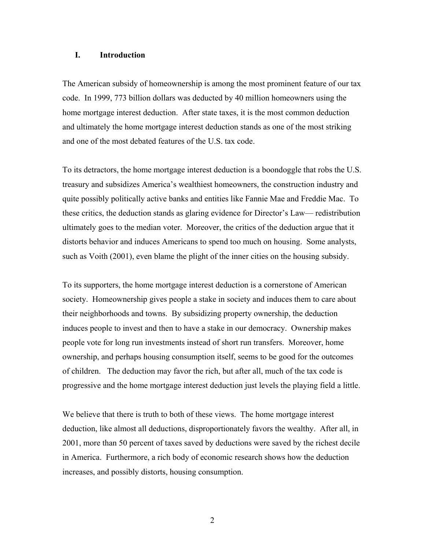#### **I. Introduction**

The American subsidy of homeownership is among the most prominent feature of our tax code. In 1999, 773 billion dollars was deducted by 40 million homeowners using the home mortgage interest deduction. After state taxes, it is the most common deduction and ultimately the home mortgage interest deduction stands as one of the most striking and one of the most debated features of the U.S. tax code.

To its detractors, the home mortgage interest deduction is a boondoggle that robs the U.S. treasury and subsidizes America's wealthiest homeowners, the construction industry and quite possibly politically active banks and entities like Fannie Mae and Freddie Mac. To these critics, the deduction stands as glaring evidence for Director's Law— redistribution ultimately goes to the median voter. Moreover, the critics of the deduction argue that it distorts behavior and induces Americans to spend too much on housing. Some analysts, such as Voith (2001), even blame the plight of the inner cities on the housing subsidy.

To its supporters, the home mortgage interest deduction is a cornerstone of American society. Homeownership gives people a stake in society and induces them to care about their neighborhoods and towns. By subsidizing property ownership, the deduction induces people to invest and then to have a stake in our democracy. Ownership makes people vote for long run investments instead of short run transfers. Moreover, home ownership, and perhaps housing consumption itself, seems to be good for the outcomes of children. The deduction may favor the rich, but after all, much of the tax code is progressive and the home mortgage interest deduction just levels the playing field a little.

We believe that there is truth to both of these views. The home mortgage interest deduction, like almost all deductions, disproportionately favors the wealthy. After all, in 2001, more than 50 percent of taxes saved by deductions were saved by the richest decile in America. Furthermore, a rich body of economic research shows how the deduction increases, and possibly distorts, housing consumption.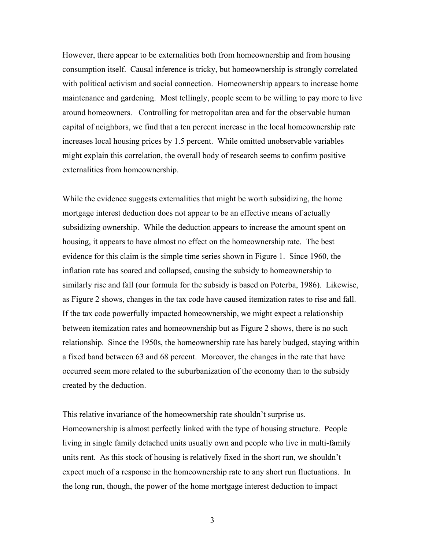However, there appear to be externalities both from homeownership and from housing consumption itself. Causal inference is tricky, but homeownership is strongly correlated with political activism and social connection. Homeownership appears to increase home maintenance and gardening. Most tellingly, people seem to be willing to pay more to live around homeowners. Controlling for metropolitan area and for the observable human capital of neighbors, we find that a ten percent increase in the local homeownership rate increases local housing prices by 1.5 percent. While omitted unobservable variables might explain this correlation, the overall body of research seems to confirm positive externalities from homeownership.

While the evidence suggests externalities that might be worth subsidizing, the home mortgage interest deduction does not appear to be an effective means of actually subsidizing ownership. While the deduction appears to increase the amount spent on housing, it appears to have almost no effect on the homeownership rate. The best evidence for this claim is the simple time series shown in Figure 1. Since 1960, the inflation rate has soared and collapsed, causing the subsidy to homeownership to similarly rise and fall (our formula for the subsidy is based on Poterba, 1986). Likewise, as Figure 2 shows, changes in the tax code have caused itemization rates to rise and fall. If the tax code powerfully impacted homeownership, we might expect a relationship between itemization rates and homeownership but as Figure 2 shows, there is no such relationship. Since the 1950s, the homeownership rate has barely budged, staying within a fixed band between 63 and 68 percent. Moreover, the changes in the rate that have occurred seem more related to the suburbanization of the economy than to the subsidy created by the deduction.

This relative invariance of the homeownership rate shouldn't surprise us. Homeownership is almost perfectly linked with the type of housing structure. People living in single family detached units usually own and people who live in multi-family units rent. As this stock of housing is relatively fixed in the short run, we shouldn't expect much of a response in the homeownership rate to any short run fluctuations. In the long run, though, the power of the home mortgage interest deduction to impact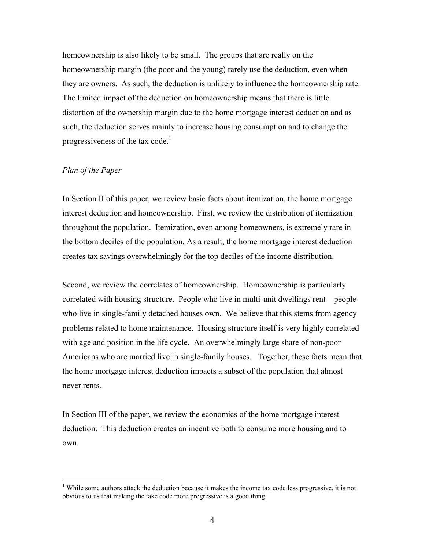homeownership is also likely to be small. The groups that are really on the homeownership margin (the poor and the young) rarely use the deduction, even when they are owners. As such, the deduction is unlikely to influence the homeownership rate. The limited impact of the deduction on homeownership means that there is little distortion of the ownership margin due to the home mortgage interest deduction and as such, the deduction serves mainly to increase housing consumption and to change the progressiveness of the tax code. $<sup>1</sup>$ </sup>

#### *Plan of the Paper*

 $\overline{a}$ 

In Section II of this paper, we review basic facts about itemization, the home mortgage interest deduction and homeownership. First, we review the distribution of itemization throughout the population. Itemization, even among homeowners, is extremely rare in the bottom deciles of the population. As a result, the home mortgage interest deduction creates tax savings overwhelmingly for the top deciles of the income distribution.

Second, we review the correlates of homeownership. Homeownership is particularly correlated with housing structure. People who live in multi-unit dwellings rent—people who live in single-family detached houses own. We believe that this stems from agency problems related to home maintenance. Housing structure itself is very highly correlated with age and position in the life cycle. An overwhelmingly large share of non-poor Americans who are married live in single-family houses. Together, these facts mean that the home mortgage interest deduction impacts a subset of the population that almost never rents.

In Section III of the paper, we review the economics of the home mortgage interest deduction. This deduction creates an incentive both to consume more housing and to own.

<span id="page-4-0"></span><sup>&</sup>lt;sup>1</sup> While some authors attack the deduction because it makes the income tax code less progressive, it is not obvious to us that making the take code more progressive is a good thing.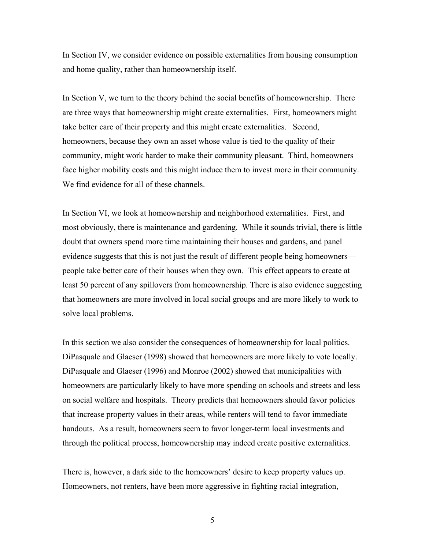In Section IV, we consider evidence on possible externalities from housing consumption and home quality, rather than homeownership itself.

In Section V, we turn to the theory behind the social benefits of homeownership. There are three ways that homeownership might create externalities. First, homeowners might take better care of their property and this might create externalities. Second, homeowners, because they own an asset whose value is tied to the quality of their community, might work harder to make their community pleasant. Third, homeowners face higher mobility costs and this might induce them to invest more in their community. We find evidence for all of these channels.

In Section VI, we look at homeownership and neighborhood externalities. First, and most obviously, there is maintenance and gardening. While it sounds trivial, there is little doubt that owners spend more time maintaining their houses and gardens, and panel evidence suggests that this is not just the result of different people being homeowners people take better care of their houses when they own. This effect appears to create at least 50 percent of any spillovers from homeownership. There is also evidence suggesting that homeowners are more involved in local social groups and are more likely to work to solve local problems.

In this section we also consider the consequences of homeownership for local politics. DiPasquale and Glaeser (1998) showed that homeowners are more likely to vote locally. DiPasquale and Glaeser (1996) and Monroe (2002) showed that municipalities with homeowners are particularly likely to have more spending on schools and streets and less on social welfare and hospitals. Theory predicts that homeowners should favor policies that increase property values in their areas, while renters will tend to favor immediate handouts. As a result, homeowners seem to favor longer-term local investments and through the political process, homeownership may indeed create positive externalities.

There is, however, a dark side to the homeowners' desire to keep property values up. Homeowners, not renters, have been more aggressive in fighting racial integration,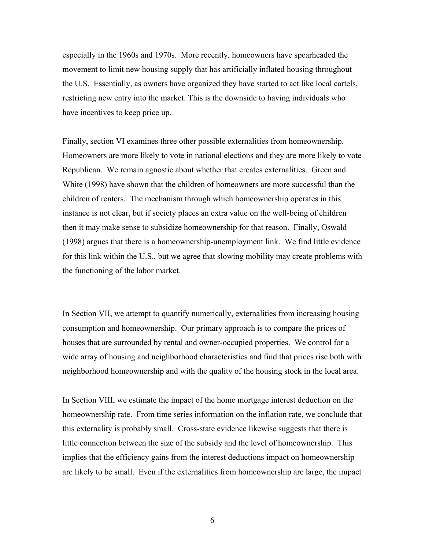especially in the 1960s and 1970s. More recently, homeowners have spearheaded the movement to limit new housing supply that has artificially inflated housing throughout the U.S. Essentially, as owners have organized they have started to act like local cartels, restricting new entry into the market. This is the downside to having individuals who have incentives to keep price up.

Finally, section VI examines three other possible externalities from homeownership. Homeowners are more likely to vote in national elections and they are more likely to vote Republican. We remain agnostic about whether that creates externalities. Green and White (1998) have shown that the children of homeowners are more successful than the children of renters. The mechanism through which homeownership operates in this instance is not clear, but if society places an extra value on the well-being of children then it may make sense to subsidize homeownership for that reason. Finally, Oswald (1998) argues that there is a homeownership-unemployment link. We find little evidence for this link within the U.S., but we agree that slowing mobility may create problems with the functioning of the labor market.

In Section VII, we attempt to quantify numerically, externalities from increasing housing consumption and homeownership. Our primary approach is to compare the prices of houses that are surrounded by rental and owner-occupied properties. We control for a wide array of housing and neighborhood characteristics and find that prices rise both with neighborhood homeownership and with the quality of the housing stock in the local area.

In Section VIII, we estimate the impact of the home mortgage interest deduction on the homeownership rate. From time series information on the inflation rate, we conclude that this externality is probably small. Cross-state evidence likewise suggests that there is little connection between the size of the subsidy and the level of homeownership. This implies that the efficiency gains from the interest deductions impact on homeownership are likely to be small. Even if the externalities from homeownership are large, the impact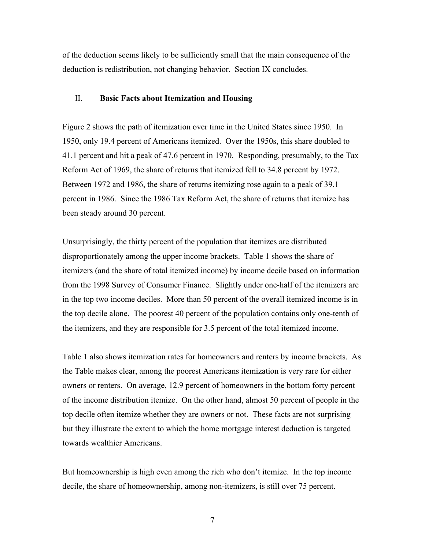of the deduction seems likely to be sufficiently small that the main consequence of the deduction is redistribution, not changing behavior. Section IX concludes.

#### II. **Basic Facts about Itemization and Housing**

Figure 2 shows the path of itemization over time in the United States since 1950. In 1950, only 19.4 percent of Americans itemized. Over the 1950s, this share doubled to 41.1 percent and hit a peak of 47.6 percent in 1970. Responding, presumably, to the Tax Reform Act of 1969, the share of returns that itemized fell to 34.8 percent by 1972. Between 1972 and 1986, the share of returns itemizing rose again to a peak of 39.1 percent in 1986. Since the 1986 Tax Reform Act, the share of returns that itemize has been steady around 30 percent.

Unsurprisingly, the thirty percent of the population that itemizes are distributed disproportionately among the upper income brackets. Table 1 shows the share of itemizers (and the share of total itemized income) by income decile based on information from the 1998 Survey of Consumer Finance. Slightly under one-half of the itemizers are in the top two income deciles. More than 50 percent of the overall itemized income is in the top decile alone. The poorest 40 percent of the population contains only one-tenth of the itemizers, and they are responsible for 3.5 percent of the total itemized income.

Table 1 also shows itemization rates for homeowners and renters by income brackets. As the Table makes clear, among the poorest Americans itemization is very rare for either owners or renters. On average, 12.9 percent of homeowners in the bottom forty percent of the income distribution itemize. On the other hand, almost 50 percent of people in the top decile often itemize whether they are owners or not. These facts are not surprising but they illustrate the extent to which the home mortgage interest deduction is targeted towards wealthier Americans.

But homeownership is high even among the rich who don't itemize. In the top income decile, the share of homeownership, among non-itemizers, is still over 75 percent.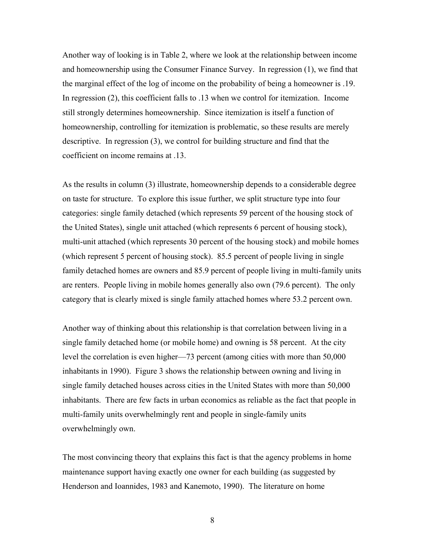Another way of looking is in Table 2, where we look at the relationship between income and homeownership using the Consumer Finance Survey. In regression (1), we find that the marginal effect of the log of income on the probability of being a homeowner is .19. In regression (2), this coefficient falls to .13 when we control for itemization. Income still strongly determines homeownership. Since itemization is itself a function of homeownership, controlling for itemization is problematic, so these results are merely descriptive. In regression (3), we control for building structure and find that the coefficient on income remains at .13.

As the results in column (3) illustrate, homeownership depends to a considerable degree on taste for structure. To explore this issue further, we split structure type into four categories: single family detached (which represents 59 percent of the housing stock of the United States), single unit attached (which represents 6 percent of housing stock), multi-unit attached (which represents 30 percent of the housing stock) and mobile homes (which represent 5 percent of housing stock). 85.5 percent of people living in single family detached homes are owners and 85.9 percent of people living in multi-family units are renters. People living in mobile homes generally also own (79.6 percent). The only category that is clearly mixed is single family attached homes where 53.2 percent own.

Another way of thinking about this relationship is that correlation between living in a single family detached home (or mobile home) and owning is 58 percent. At the city level the correlation is even higher—73 percent (among cities with more than 50,000 inhabitants in 1990). Figure 3 shows the relationship between owning and living in single family detached houses across cities in the United States with more than 50,000 inhabitants. There are few facts in urban economics as reliable as the fact that people in multi-family units overwhelmingly rent and people in single-family units overwhelmingly own.

The most convincing theory that explains this fact is that the agency problems in home maintenance support having exactly one owner for each building (as suggested by Henderson and Ioannides, 1983 and Kanemoto, 1990). The literature on home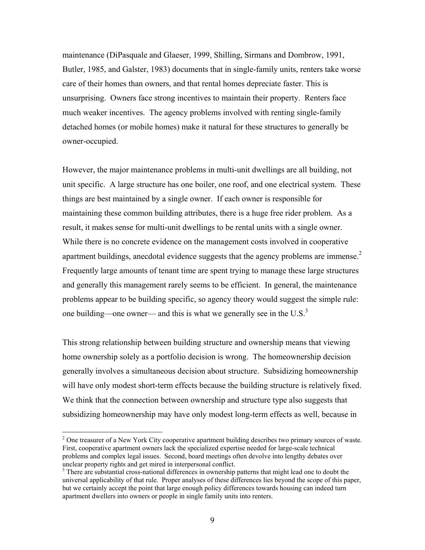maintenance (DiPasquale and Glaeser, 1999, Shilling, Sirmans and Dombrow, 1991, Butler, 1985, and Galster, 1983) documents that in single-family units, renters take worse care of their homes than owners, and that rental homes depreciate faster. This is unsurprising. Owners face strong incentives to maintain their property. Renters face much weaker incentives. The agency problems involved with renting single-family detached homes (or mobile homes) make it natural for these structures to generally be owner-occupied.

However, the major maintenance problems in multi-unit dwellings are all building, not unit specific. A large structure has one boiler, one roof, and one electrical system. These things are best maintained by a single owner. If each owner is responsible for maintaining these common building attributes, there is a huge free rider problem. As a result, it makes sense for multi-unit dwellings to be rental units with a single owner. While there is no concrete evidence on the management costs involved in cooperative apartment buildings, anecdotal evidence suggests that the agency problems are immense.<sup>[2](#page-9-0)</sup> Frequently large amounts of tenant time are spent trying to manage these large structures and generally this management rarely seems to be efficient. In general, the maintenance problems appear to be building specific, so agency theory would suggest the simple rule: one building—one owner— and this is what we generally see in the U.S. $3$ 

This strong relationship between building structure and ownership means that viewing home ownership solely as a portfolio decision is wrong. The homeownership decision generally involves a simultaneous decision about structure. Subsidizing homeownership will have only modest short-term effects because the building structure is relatively fixed. We think that the connection between ownership and structure type also suggests that subsidizing homeownership may have only modest long-term effects as well, because in

 $\overline{a}$ 

<span id="page-9-0"></span><sup>&</sup>lt;sup>2</sup> One treasurer of a New York City cooperative apartment building describes two primary sources of waste. First, cooperative apartment owners lack the specialized expertise needed for large-scale technical problems and complex legal issues. Second, board meetings often devolve into lengthy debates over unclear property rights and get mired in interpersonal conflict.

<span id="page-9-1"></span><sup>&</sup>lt;sup>3</sup> There are substantial cross-national differences in ownership patterns that might lead one to doubt the universal applicability of that rule. Proper analyses of these differences lies beyond the scope of this paper, but we certainly accept the point that large enough policy differences towards housing can indeed turn apartment dwellers into owners or people in single family units into renters.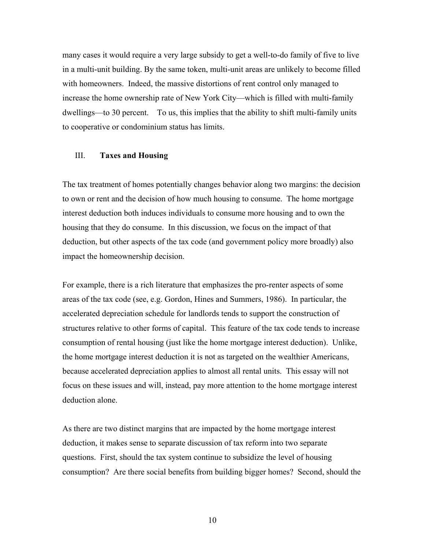many cases it would require a very large subsidy to get a well-to-do family of five to live in a multi-unit building. By the same token, multi-unit areas are unlikely to become filled with homeowners. Indeed, the massive distortions of rent control only managed to increase the home ownership rate of New York City—which is filled with multi-family dwellings—to 30 percent. To us, this implies that the ability to shift multi-family units to cooperative or condominium status has limits.

#### III. **Taxes and Housing**

The tax treatment of homes potentially changes behavior along two margins: the decision to own or rent and the decision of how much housing to consume. The home mortgage interest deduction both induces individuals to consume more housing and to own the housing that they do consume. In this discussion, we focus on the impact of that deduction, but other aspects of the tax code (and government policy more broadly) also impact the homeownership decision.

For example, there is a rich literature that emphasizes the pro-renter aspects of some areas of the tax code (see, e.g. Gordon, Hines and Summers, 1986). In particular, the accelerated depreciation schedule for landlords tends to support the construction of structures relative to other forms of capital. This feature of the tax code tends to increase consumption of rental housing (just like the home mortgage interest deduction). Unlike, the home mortgage interest deduction it is not as targeted on the wealthier Americans, because accelerated depreciation applies to almost all rental units. This essay will not focus on these issues and will, instead, pay more attention to the home mortgage interest deduction alone.

As there are two distinct margins that are impacted by the home mortgage interest deduction, it makes sense to separate discussion of tax reform into two separate questions. First, should the tax system continue to subsidize the level of housing consumption? Are there social benefits from building bigger homes? Second, should the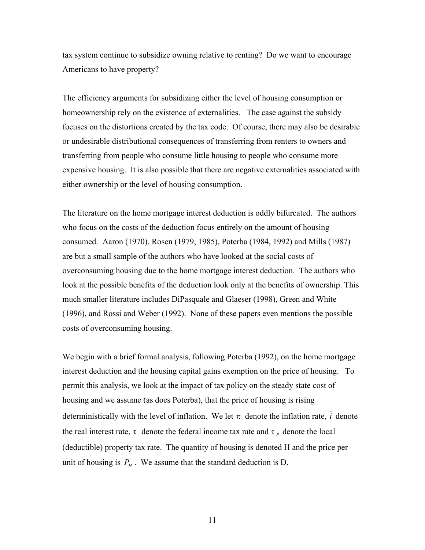tax system continue to subsidize owning relative to renting? Do we want to encourage Americans to have property?

The efficiency arguments for subsidizing either the level of housing consumption or homeownership rely on the existence of externalities. The case against the subsidy focuses on the distortions created by the tax code. Of course, there may also be desirable or undesirable distributional consequences of transferring from renters to owners and transferring from people who consume little housing to people who consume more expensive housing. It is also possible that there are negative externalities associated with either ownership or the level of housing consumption.

The literature on the home mortgage interest deduction is oddly bifurcated. The authors who focus on the costs of the deduction focus entirely on the amount of housing consumed. Aaron (1970), Rosen (1979, 1985), Poterba (1984, 1992) and Mills (1987) are but a small sample of the authors who have looked at the social costs of overconsuming housing due to the home mortgage interest deduction. The authors who look at the possible benefits of the deduction look only at the benefits of ownership. This much smaller literature includes DiPasquale and Glaeser (1998), Green and White (1996), and Rossi and Weber (1992). None of these papers even mentions the possible costs of overconsuming housing.

We begin with a brief formal analysis, following Poterba (1992), on the home mortgage interest deduction and the housing capital gains exemption on the price of housing. To permit this analysis, we look at the impact of tax policy on the steady state cost of housing and we assume (as does Poterba), that the price of housing is rising deterministically with the level of inflation. We let  $\pi$  denote the inflation rate,  $\bar{i}$  denote the real interest rate,  $\tau$  denote the federal income tax rate and  $\tau_p$  denote the local (deductible) property tax rate. The quantity of housing is denoted H and the price per unit of housing is  $P_H$ . We assume that the standard deduction is D.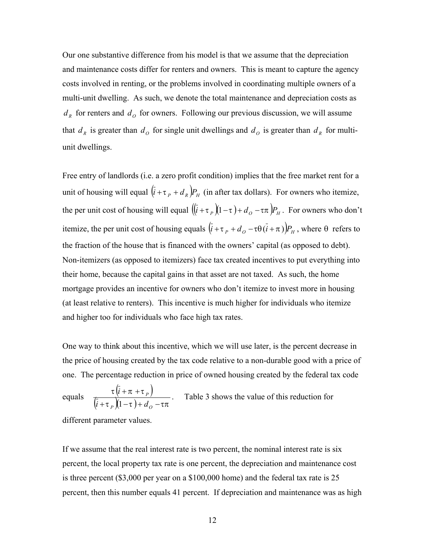Our one substantive difference from his model is that we assume that the depreciation and maintenance costs differ for renters and owners. This is meant to capture the agency costs involved in renting, or the problems involved in coordinating multiple owners of a multi-unit dwelling. As such, we denote the total maintenance and depreciation costs as  $d<sub>R</sub>$  for renters and  $d<sub>O</sub>$  for owners. Following our previous discussion, we will assume that  $d<sub>R</sub>$  is greater than  $d<sub>O</sub>$  for single unit dwellings and  $d<sub>O</sub>$  is greater than  $d<sub>R</sub>$  for multiunit dwellings.

Free entry of landlords (i.e. a zero profit condition) implies that the free market rent for a unit of housing will equal  $(i + \tau_p + d_k)P_H$  (in after tax dollars). For owners who itemize, the per unit cost of housing will equal  $((\bar{i} + \tau_p)(1 - \tau) + d_o - \tau \pi)P_H$ . For owners who don't itemize, the per unit cost of housing equals  $(i + \tau_p + d_o - \tau \theta(i + \pi))P_H$ , where  $\theta$  refers to the fraction of the house that is financed with the owners' capital (as opposed to debt). Non-itemizers (as opposed to itemizers) face tax created incentives to put everything into their home, because the capital gains in that asset are not taxed. As such, the home mortgage provides an incentive for owners who don't itemize to invest more in housing (at least relative to renters). This incentive is much higher for individuals who itemize and higher too for individuals who face high tax rates.

One way to think about this incentive, which we will use later, is the percent decrease in the price of housing created by the tax code relative to a non-durable good with a price of one. The percentage reduction in price of owned housing created by the federal tax code  $+ \pi +$ 

equals  $\frac{\tau (i + \pi + \tau_p)}{(\overline{i} + \tau_p)(1-\tau) + d_o - \tau_{\pi}}$  $+\tau P_p (1-\tau) + d_o P \mathcal{M}^{-1}$   $\mathcal{M}^{-1}$ *P*  $i + \tau_p (1-\tau) + d$ *i*  $\left(1\right)$ . Table 3 shows the value of this reduction for

different parameter values.

If we assume that the real interest rate is two percent, the nominal interest rate is six percent, the local property tax rate is one percent, the depreciation and maintenance cost is three percent (\$3,000 per year on a \$100,000 home) and the federal tax rate is 25 percent, then this number equals 41 percent. If depreciation and maintenance was as high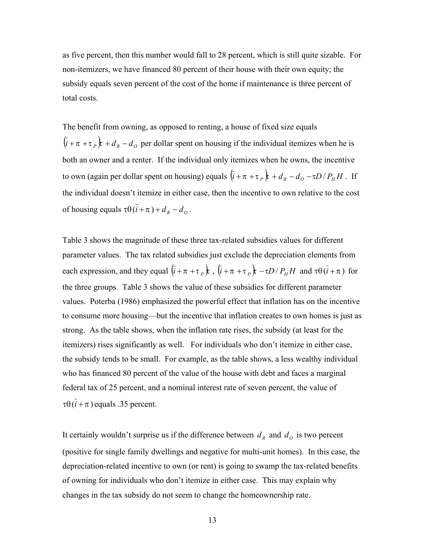as five percent, then this number would fall to 28 percent, which is still quite sizable. For non-itemizers, we have financed 80 percent of their house with their own equity; the subsidy equals seven percent of the cost of the home if maintenance is three percent of total costs.

The benefit from owning, as opposed to renting, a house of fixed size equals  $(\bar{i} + \pi + \tau_p)$  *R* +  $d_R - d_Q$  per dollar spent on housing if the individual itemizes when he is both an owner and a renter. If the individual only itemizes when he owns, the incentive to own (again per dollar spent on housing) equals  $(\bar{i} + \pi + \tau_p)\bar{j} + d_R - d_O - \tau D / P_H H$ . If the individual doesn't itemize in either case, then the incentive to own relative to the cost of housing equals  $\tau \theta(\bar{i} + \pi) + d_R - d_Q$ .

Table 3 shows the magnitude of these three tax-related subsidies values for different parameter values. The tax related subsidies just exclude the depreciation elements from each expression, and they equal  $(i + \pi + \tau_p)$ ,  $(i + \pi + \tau_p)$ ,  $(-\tau D/P_H H$  and  $\tau \theta (i + \pi)$  for the three groups. Table 3 shows the value of these subsidies for different parameter values. Poterba (1986) emphasized the powerful effect that inflation has on the incentive to consume more housing—but the incentive that inflation creates to own homes is just as strong. As the table shows, when the inflation rate rises, the subsidy (at least for the itemizers) rises significantly as well. For individuals who don't itemize in either case, the subsidy tends to be small. For example, as the table shows, a less wealthy individual who has financed 80 percent of the value of the house with debt and faces a marginal federal tax of 25 percent, and a nominal interest rate of seven percent, the value of  $\tau \theta (i + \pi)$  equals .35 percent.

It certainly wouldn't surprise us if the difference between  $d<sub>R</sub>$  and  $d<sub>O</sub>$  is two percent (positive for single family dwellings and negative for multi-unit homes). In this case, the depreciation-related incentive to own (or rent) is going to swamp the tax-related benefits of owning for individuals who don't itemize in either case. This may explain why changes in the tax subsidy do not seem to change the homeownership rate.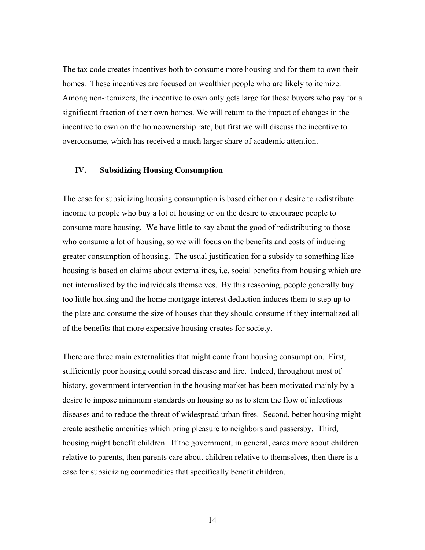The tax code creates incentives both to consume more housing and for them to own their homes. These incentives are focused on wealthier people who are likely to itemize. Among non-itemizers, the incentive to own only gets large for those buyers who pay for a significant fraction of their own homes. We will return to the impact of changes in the incentive to own on the homeownership rate, but first we will discuss the incentive to overconsume, which has received a much larger share of academic attention.

#### **IV. Subsidizing Housing Consumption**

The case for subsidizing housing consumption is based either on a desire to redistribute income to people who buy a lot of housing or on the desire to encourage people to consume more housing. We have little to say about the good of redistributing to those who consume a lot of housing, so we will focus on the benefits and costs of inducing greater consumption of housing. The usual justification for a subsidy to something like housing is based on claims about externalities, i.e. social benefits from housing which are not internalized by the individuals themselves. By this reasoning, people generally buy too little housing and the home mortgage interest deduction induces them to step up to the plate and consume the size of houses that they should consume if they internalized all of the benefits that more expensive housing creates for society.

There are three main externalities that might come from housing consumption. First, sufficiently poor housing could spread disease and fire. Indeed, throughout most of history, government intervention in the housing market has been motivated mainly by a desire to impose minimum standards on housing so as to stem the flow of infectious diseases and to reduce the threat of widespread urban fires. Second, better housing might create aesthetic amenities which bring pleasure to neighbors and passersby. Third, housing might benefit children. If the government, in general, cares more about children relative to parents, then parents care about children relative to themselves, then there is a case for subsidizing commodities that specifically benefit children.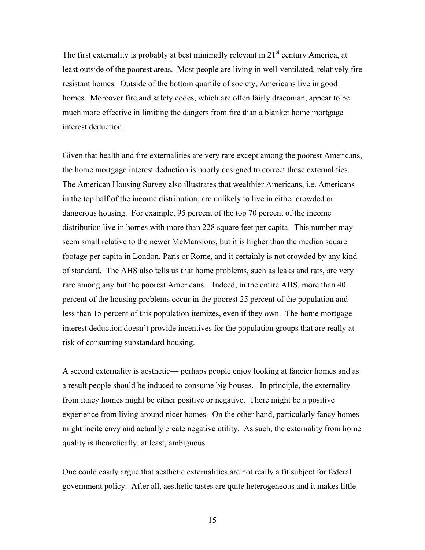The first externality is probably at best minimally relevant in  $21<sup>st</sup>$  century America, at least outside of the poorest areas. Most people are living in well-ventilated, relatively fire resistant homes. Outside of the bottom quartile of society, Americans live in good homes. Moreover fire and safety codes, which are often fairly draconian, appear to be much more effective in limiting the dangers from fire than a blanket home mortgage interest deduction.

Given that health and fire externalities are very rare except among the poorest Americans, the home mortgage interest deduction is poorly designed to correct those externalities. The American Housing Survey also illustrates that wealthier Americans, i.e. Americans in the top half of the income distribution, are unlikely to live in either crowded or dangerous housing. For example, 95 percent of the top 70 percent of the income distribution live in homes with more than 228 square feet per capita. This number may seem small relative to the newer McMansions, but it is higher than the median square footage per capita in London, Paris or Rome, and it certainly is not crowded by any kind of standard. The AHS also tells us that home problems, such as leaks and rats, are very rare among any but the poorest Americans. Indeed, in the entire AHS, more than 40 percent of the housing problems occur in the poorest 25 percent of the population and less than 15 percent of this population itemizes, even if they own. The home mortgage interest deduction doesn't provide incentives for the population groups that are really at risk of consuming substandard housing.

A second externality is aesthetic— perhaps people enjoy looking at fancier homes and as a result people should be induced to consume big houses. In principle, the externality from fancy homes might be either positive or negative. There might be a positive experience from living around nicer homes. On the other hand, particularly fancy homes might incite envy and actually create negative utility. As such, the externality from home quality is theoretically, at least, ambiguous.

One could easily argue that aesthetic externalities are not really a fit subject for federal government policy. After all, aesthetic tastes are quite heterogeneous and it makes little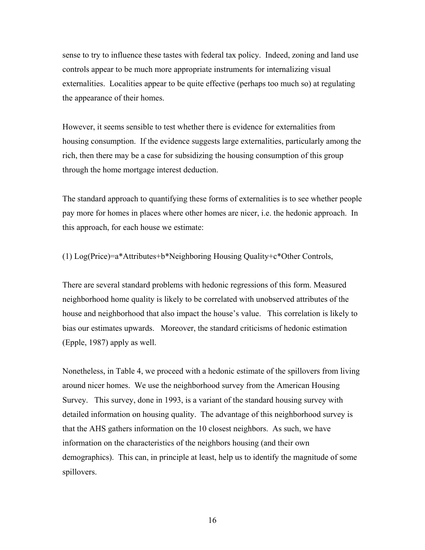sense to try to influence these tastes with federal tax policy. Indeed, zoning and land use controls appear to be much more appropriate instruments for internalizing visual externalities. Localities appear to be quite effective (perhaps too much so) at regulating the appearance of their homes.

However, it seems sensible to test whether there is evidence for externalities from housing consumption. If the evidence suggests large externalities, particularly among the rich, then there may be a case for subsidizing the housing consumption of this group through the home mortgage interest deduction.

The standard approach to quantifying these forms of externalities is to see whether people pay more for homes in places where other homes are nicer, i.e. the hedonic approach. In this approach, for each house we estimate:

(1)  $Log(Price)=a*Attributes+b*Neighbouring Housing Quality+c*Other Controls,$ 

There are several standard problems with hedonic regressions of this form. Measured neighborhood home quality is likely to be correlated with unobserved attributes of the house and neighborhood that also impact the house's value. This correlation is likely to bias our estimates upwards. Moreover, the standard criticisms of hedonic estimation (Epple, 1987) apply as well.

Nonetheless, in Table 4, we proceed with a hedonic estimate of the spillovers from living around nicer homes. We use the neighborhood survey from the American Housing Survey. This survey, done in 1993, is a variant of the standard housing survey with detailed information on housing quality. The advantage of this neighborhood survey is that the AHS gathers information on the 10 closest neighbors. As such, we have information on the characteristics of the neighbors housing (and their own demographics). This can, in principle at least, help us to identify the magnitude of some spillovers.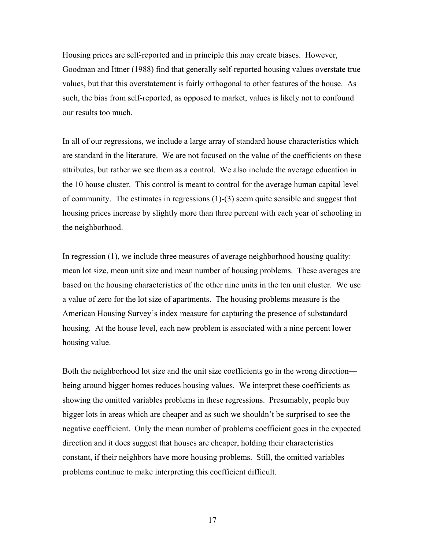Housing prices are self-reported and in principle this may create biases. However, Goodman and Ittner (1988) find that generally self-reported housing values overstate true values, but that this overstatement is fairly orthogonal to other features of the house. As such, the bias from self-reported, as opposed to market, values is likely not to confound our results too much.

In all of our regressions, we include a large array of standard house characteristics which are standard in the literature. We are not focused on the value of the coefficients on these attributes, but rather we see them as a control. We also include the average education in the 10 house cluster. This control is meant to control for the average human capital level of community. The estimates in regressions (1)-(3) seem quite sensible and suggest that housing prices increase by slightly more than three percent with each year of schooling in the neighborhood.

In regression (1), we include three measures of average neighborhood housing quality: mean lot size, mean unit size and mean number of housing problems. These averages are based on the housing characteristics of the other nine units in the ten unit cluster. We use a value of zero for the lot size of apartments. The housing problems measure is the American Housing Survey's index measure for capturing the presence of substandard housing. At the house level, each new problem is associated with a nine percent lower housing value.

Both the neighborhood lot size and the unit size coefficients go in the wrong direction being around bigger homes reduces housing values. We interpret these coefficients as showing the omitted variables problems in these regressions. Presumably, people buy bigger lots in areas which are cheaper and as such we shouldn't be surprised to see the negative coefficient. Only the mean number of problems coefficient goes in the expected direction and it does suggest that houses are cheaper, holding their characteristics constant, if their neighbors have more housing problems. Still, the omitted variables problems continue to make interpreting this coefficient difficult.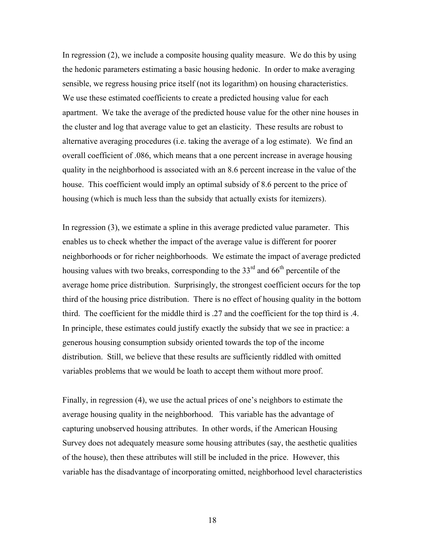In regression (2), we include a composite housing quality measure. We do this by using the hedonic parameters estimating a basic housing hedonic. In order to make averaging sensible, we regress housing price itself (not its logarithm) on housing characteristics. We use these estimated coefficients to create a predicted housing value for each apartment. We take the average of the predicted house value for the other nine houses in the cluster and log that average value to get an elasticity. These results are robust to alternative averaging procedures (i.e. taking the average of a log estimate). We find an overall coefficient of .086, which means that a one percent increase in average housing quality in the neighborhood is associated with an 8.6 percent increase in the value of the house. This coefficient would imply an optimal subsidy of 8.6 percent to the price of housing (which is much less than the subsidy that actually exists for itemizers).

In regression (3), we estimate a spline in this average predicted value parameter. This enables us to check whether the impact of the average value is different for poorer neighborhoods or for richer neighborhoods. We estimate the impact of average predicted housing values with two breaks, corresponding to the  $33<sup>rd</sup>$  and  $66<sup>th</sup>$  percentile of the average home price distribution. Surprisingly, the strongest coefficient occurs for the top third of the housing price distribution. There is no effect of housing quality in the bottom third. The coefficient for the middle third is .27 and the coefficient for the top third is .4. In principle, these estimates could justify exactly the subsidy that we see in practice: a generous housing consumption subsidy oriented towards the top of the income distribution. Still, we believe that these results are sufficiently riddled with omitted variables problems that we would be loath to accept them without more proof.

Finally, in regression (4), we use the actual prices of one's neighbors to estimate the average housing quality in the neighborhood. This variable has the advantage of capturing unobserved housing attributes. In other words, if the American Housing Survey does not adequately measure some housing attributes (say, the aesthetic qualities of the house), then these attributes will still be included in the price. However, this variable has the disadvantage of incorporating omitted, neighborhood level characteristics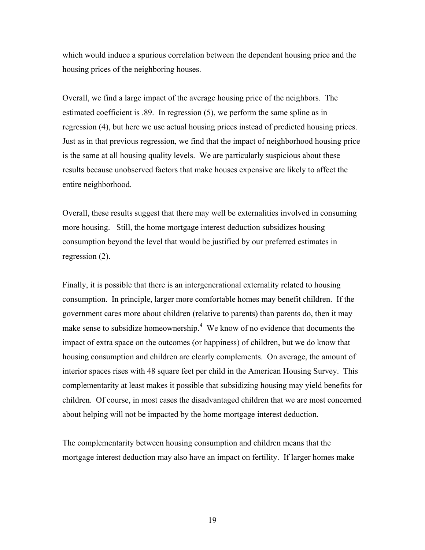<span id="page-19-0"></span>which would induce a spurious correlation between the dependent housing price and the housing prices of the neighboring houses.

Overall, we find a large impact of the average housing price of the neighbors. The estimated coefficient is .89. In regression (5), we perform the same spline as in regression (4), but here we use actual housing prices instead of predicted housing prices. Just as in that previous regression, we find that the impact of neighborhood housing price is the same at all housing quality levels. We are particularly suspicious about these results because unobserved factors that make houses expensive are likely to affect the entire neighborhood.

Overall, these results suggest that there may well be externalities involved in consuming more housing. Still, the home mortgage interest deduction subsidizes housing consumption beyond the level that would be justified by our preferred estimates in regression (2).

Finally, it is possible that there is an intergenerational externality related to housing consumption. In principle, larger more comfortable homes may benefit children. If the government cares more about children (relative to parents) than parents do, then it may make sense to subsidize homeownership.<sup>[4](#page-19-0)</sup> We know of no evidence that documents the impact of extra space on the outcomes (or happiness) of children, but we do know that housing consumption and children are clearly complements. On average, the amount of interior spaces rises with 48 square feet per child in the American Housing Survey. This complementarity at least makes it possible that subsidizing housing may yield benefits for children. Of course, in most cases the disadvantaged children that we are most concerned about helping will not be impacted by the home mortgage interest deduction.

The complementarity between housing consumption and children means that the mortgage interest deduction may also have an impact on fertility. If larger homes make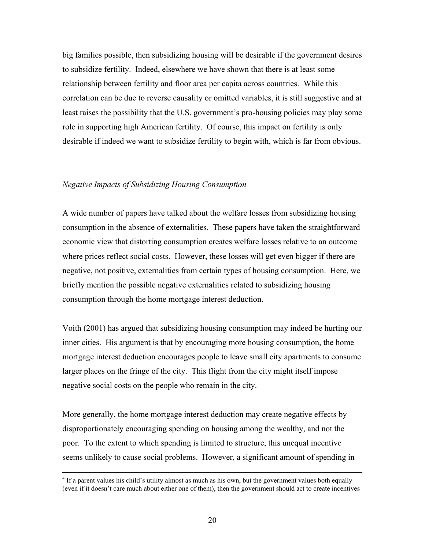big families possible, then subsidizing housing will be desirable if the government desires to subsidize fertility. Indeed, elsewhere we have shown that there is at least some relationship between fertility and floor area per capita across countries. While this correlation can be due to reverse causality or omitted variables, it is still suggestive and at least raises the possibility that the U.S. government's pro-housing policies may play some role in supporting high American fertility. Of course, this impact on fertility is only desirable if indeed we want to subsidize fertility to begin with, which is far from obvious.

#### *Negative Impacts of Subsidizing Housing Consumption*

A wide number of papers have talked about the welfare losses from subsidizing housing consumption in the absence of externalities. These papers have taken the straightforward economic view that distorting consumption creates welfare losses relative to an outcome where prices reflect social costs. However, these losses will get even bigger if there are negative, not positive, externalities from certain types of housing consumption. Here, we briefly mention the possible negative externalities related to subsidizing housing consumption through the home mortgage interest deduction.

Voith (2001) has argued that subsidizing housing consumption may indeed be hurting our inner cities. His argument is that by encouraging more housing consumption, the home mortgage interest deduction encourages people to leave small city apartments to consume larger places on the fringe of the city. This flight from the city might itself impose negative social costs on the people who remain in the city.

More generally, the home mortgage interest deduction may create negative effects by disproportionately encouraging spending on housing among the wealthy, and not the poor. To the extent to which spending is limited to structure, this unequal incentive seems unlikely to cause social problems. However, a significant amount of spending in

<sup>&</sup>lt;sup>4</sup> If a parent values his child's utility almost as much as his own, but the government values both equally (even if it doesn't care much about either one of them), then the government should act to create incentives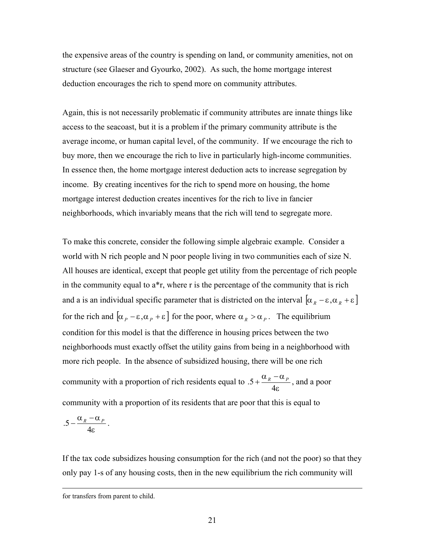the expensive areas of the country is spending on land, or community amenities, not on structure (see Glaeser and Gyourko, 2002). As such, the home mortgage interest deduction encourages the rich to spend more on community attributes.

Again, this is not necessarily problematic if community attributes are innate things like access to the seacoast, but it is a problem if the primary community attribute is the average income, or human capital level, of the community. If we encourage the rich to buy more, then we encourage the rich to live in particularly high-income communities. In essence then, the home mortgage interest deduction acts to increase segregation by income. By creating incentives for the rich to spend more on housing, the home mortgage interest deduction creates incentives for the rich to live in fancier neighborhoods, which invariably means that the rich will tend to segregate more.

To make this concrete, consider the following simple algebraic example. Consider a world with N rich people and N poor people living in two communities each of size N. All houses are identical, except that people get utility from the percentage of rich people in the community equal to  $a^*r$ , where r is the percentage of the community that is rich and a is an individual specific parameter that is districted on the interval  $[\alpha_R - \varepsilon, \alpha_R + \varepsilon]$ for the rich and  $\left[\alpha_p - \varepsilon, \alpha_p + \varepsilon\right]$  for the poor, where  $\alpha_p > \alpha_p$ . The equilibrium condition for this model is that the difference in housing prices between the two neighborhoods must exactly offset the utility gains from being in a neighborhood with more rich people. In the absence of subsidized housing, there will be one rich community with a proportion of rich residents equal to ε  $.5 + \frac{\alpha_R - \alpha_P}{4\epsilon}$ , and a poor community with a proportion of its residents that are poor that this is equal to ε  $.5 - \frac{\alpha_R - \alpha_P}{4\epsilon}$ .

If the tax code subsidizes housing consumption for the rich (and not the poor) so that they only pay 1-s of any housing costs, then in the new equilibrium the rich community will

for transfers from parent to child.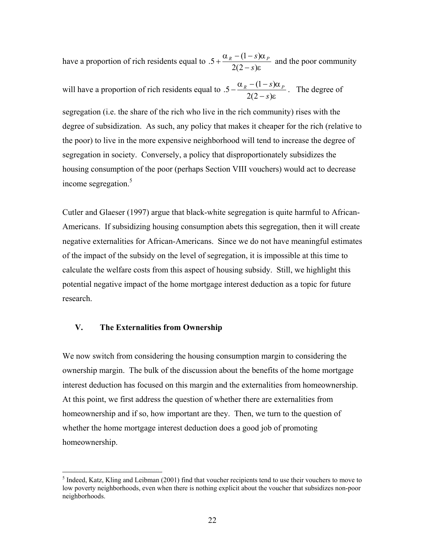have a proportion of rich residents equal to ε  $\alpha_{R}$  –  $(1-s)\alpha$  $2(2 - s)$  $.5 + \frac{\alpha_R - (1 - s)}{2}$ *s*  $s_R$   $-(1-s)\alpha_p$ −  $+\frac{\alpha_R-(1-s)\alpha_P}{2}$  and the poor community

will have a proportion of rich residents equal to ε  $\alpha_{R}$  –  $(1-s)\alpha$  $2(2 - s)$  $.5 - \frac{\alpha_R - (1 - s)}{2}$ *s*  $s_R$   $-(1-s)\alpha_p$ −  $-\frac{\alpha_R-(1-s)\alpha_P}{\alpha_R(s)}$ . The degree of

segregation (i.e. the share of the rich who live in the rich community) rises with the degree of subsidization. As such, any policy that makes it cheaper for the rich (relative to the poor) to live in the more expensive neighborhood will tend to increase the degree of segregation in society. Conversely, a policy that disproportionately subsidizes the housing consumption of the poor (perhaps Section VIII vouchers) would act to decrease income segregation.[5](#page-22-0)

Cutler and Glaeser (1997) argue that black-white segregation is quite harmful to African-Americans. If subsidizing housing consumption abets this segregation, then it will create negative externalities for African-Americans. Since we do not have meaningful estimates of the impact of the subsidy on the level of segregation, it is impossible at this time to calculate the welfare costs from this aspect of housing subsidy. Still, we highlight this potential negative impact of the home mortgage interest deduction as a topic for future research.

#### **V. The Externalities from Ownership**

 $\overline{a}$ 

We now switch from considering the housing consumption margin to considering the ownership margin. The bulk of the discussion about the benefits of the home mortgage interest deduction has focused on this margin and the externalities from homeownership. At this point, we first address the question of whether there are externalities from homeownership and if so, how important are they. Then, we turn to the question of whether the home mortgage interest deduction does a good job of promoting homeownership.

<span id="page-22-0"></span> $<sup>5</sup>$  Indeed, Katz, Kling and Leibman (2001) find that voucher recipients tend to use their vouchers to move to</sup> low poverty neighborhoods, even when there is nothing explicit about the voucher that subsidizes non-poor neighborhoods.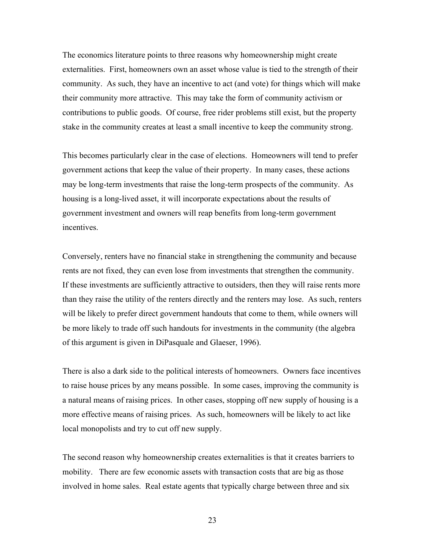The economics literature points to three reasons why homeownership might create externalities. First, homeowners own an asset whose value is tied to the strength of their community. As such, they have an incentive to act (and vote) for things which will make their community more attractive. This may take the form of community activism or contributions to public goods. Of course, free rider problems still exist, but the property stake in the community creates at least a small incentive to keep the community strong.

This becomes particularly clear in the case of elections. Homeowners will tend to prefer government actions that keep the value of their property. In many cases, these actions may be long-term investments that raise the long-term prospects of the community. As housing is a long-lived asset, it will incorporate expectations about the results of government investment and owners will reap benefits from long-term government incentives.

Conversely, renters have no financial stake in strengthening the community and because rents are not fixed, they can even lose from investments that strengthen the community. If these investments are sufficiently attractive to outsiders, then they will raise rents more than they raise the utility of the renters directly and the renters may lose. As such, renters will be likely to prefer direct government handouts that come to them, while owners will be more likely to trade off such handouts for investments in the community (the algebra of this argument is given in DiPasquale and Glaeser, 1996).

There is also a dark side to the political interests of homeowners. Owners face incentives to raise house prices by any means possible. In some cases, improving the community is a natural means of raising prices. In other cases, stopping off new supply of housing is a more effective means of raising prices. As such, homeowners will be likely to act like local monopolists and try to cut off new supply.

The second reason why homeownership creates externalities is that it creates barriers to mobility. There are few economic assets with transaction costs that are big as those involved in home sales. Real estate agents that typically charge between three and six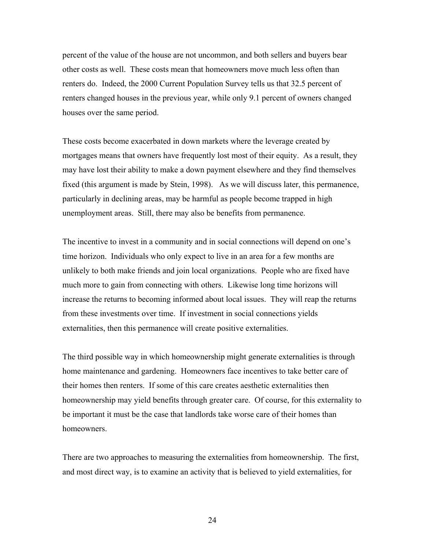percent of the value of the house are not uncommon, and both sellers and buyers bear other costs as well. These costs mean that homeowners move much less often than renters do. Indeed, the 2000 Current Population Survey tells us that 32.5 percent of renters changed houses in the previous year, while only 9.1 percent of owners changed houses over the same period.

These costs become exacerbated in down markets where the leverage created by mortgages means that owners have frequently lost most of their equity. As a result, they may have lost their ability to make a down payment elsewhere and they find themselves fixed (this argument is made by Stein, 1998). As we will discuss later, this permanence, particularly in declining areas, may be harmful as people become trapped in high unemployment areas. Still, there may also be benefits from permanence.

The incentive to invest in a community and in social connections will depend on one's time horizon. Individuals who only expect to live in an area for a few months are unlikely to both make friends and join local organizations. People who are fixed have much more to gain from connecting with others. Likewise long time horizons will increase the returns to becoming informed about local issues. They will reap the returns from these investments over time. If investment in social connections yields externalities, then this permanence will create positive externalities.

The third possible way in which homeownership might generate externalities is through home maintenance and gardening. Homeowners face incentives to take better care of their homes then renters. If some of this care creates aesthetic externalities then homeownership may yield benefits through greater care. Of course, for this externality to be important it must be the case that landlords take worse care of their homes than homeowners.

There are two approaches to measuring the externalities from homeownership. The first, and most direct way, is to examine an activity that is believed to yield externalities, for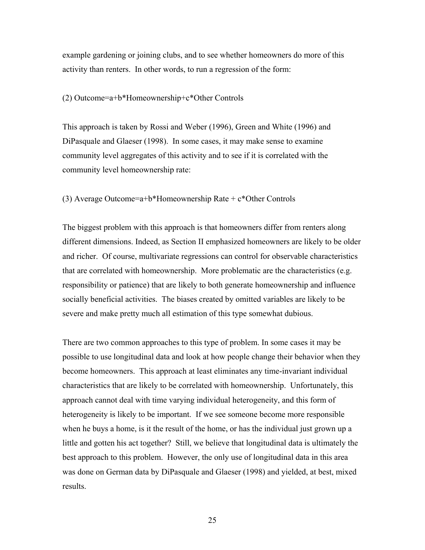example gardening or joining clubs, and to see whether homeowners do more of this activity than renters. In other words, to run a regression of the form:

#### (2) Outcome=a+b\*Homeownership+c\*Other Controls

This approach is taken by Rossi and Weber (1996), Green and White (1996) and DiPasquale and Glaeser (1998). In some cases, it may make sense to examine community level aggregates of this activity and to see if it is correlated with the community level homeownership rate:

(3) Average Outcome=a+b\*Homeownership Rate + c\*Other Controls

The biggest problem with this approach is that homeowners differ from renters along different dimensions. Indeed, as Section II emphasized homeowners are likely to be older and richer. Of course, multivariate regressions can control for observable characteristics that are correlated with homeownership. More problematic are the characteristics (e.g. responsibility or patience) that are likely to both generate homeownership and influence socially beneficial activities. The biases created by omitted variables are likely to be severe and make pretty much all estimation of this type somewhat dubious.

There are two common approaches to this type of problem. In some cases it may be possible to use longitudinal data and look at how people change their behavior when they become homeowners. This approach at least eliminates any time-invariant individual characteristics that are likely to be correlated with homeownership. Unfortunately, this approach cannot deal with time varying individual heterogeneity, and this form of heterogeneity is likely to be important. If we see someone become more responsible when he buys a home, is it the result of the home, or has the individual just grown up a little and gotten his act together? Still, we believe that longitudinal data is ultimately the best approach to this problem. However, the only use of longitudinal data in this area was done on German data by DiPasquale and Glaeser (1998) and yielded, at best, mixed results.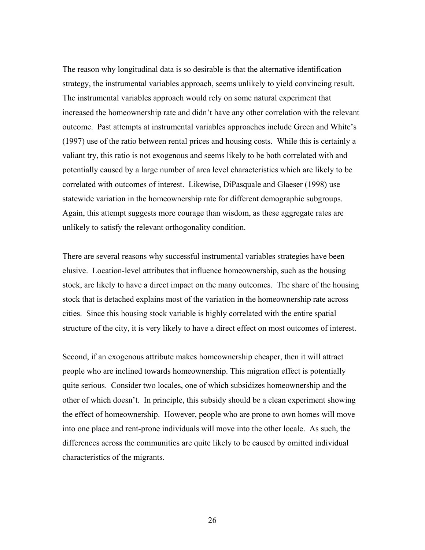The reason why longitudinal data is so desirable is that the alternative identification strategy, the instrumental variables approach, seems unlikely to yield convincing result. The instrumental variables approach would rely on some natural experiment that increased the homeownership rate and didn't have any other correlation with the relevant outcome. Past attempts at instrumental variables approaches include Green and White's (1997) use of the ratio between rental prices and housing costs. While this is certainly a valiant try, this ratio is not exogenous and seems likely to be both correlated with and potentially caused by a large number of area level characteristics which are likely to be correlated with outcomes of interest. Likewise, DiPasquale and Glaeser (1998) use statewide variation in the homeownership rate for different demographic subgroups. Again, this attempt suggests more courage than wisdom, as these aggregate rates are unlikely to satisfy the relevant orthogonality condition.

There are several reasons why successful instrumental variables strategies have been elusive. Location-level attributes that influence homeownership, such as the housing stock, are likely to have a direct impact on the many outcomes. The share of the housing stock that is detached explains most of the variation in the homeownership rate across cities. Since this housing stock variable is highly correlated with the entire spatial structure of the city, it is very likely to have a direct effect on most outcomes of interest.

Second, if an exogenous attribute makes homeownership cheaper, then it will attract people who are inclined towards homeownership. This migration effect is potentially quite serious. Consider two locales, one of which subsidizes homeownership and the other of which doesn't. In principle, this subsidy should be a clean experiment showing the effect of homeownership. However, people who are prone to own homes will move into one place and rent-prone individuals will move into the other locale. As such, the differences across the communities are quite likely to be caused by omitted individual characteristics of the migrants.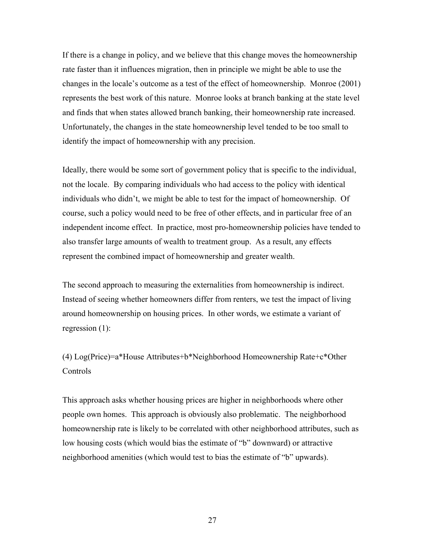If there is a change in policy, and we believe that this change moves the homeownership rate faster than it influences migration, then in principle we might be able to use the changes in the locale's outcome as a test of the effect of homeownership. Monroe (2001) represents the best work of this nature. Monroe looks at branch banking at the state level and finds that when states allowed branch banking, their homeownership rate increased. Unfortunately, the changes in the state homeownership level tended to be too small to identify the impact of homeownership with any precision.

Ideally, there would be some sort of government policy that is specific to the individual, not the locale. By comparing individuals who had access to the policy with identical individuals who didn't, we might be able to test for the impact of homeownership. Of course, such a policy would need to be free of other effects, and in particular free of an independent income effect. In practice, most pro-homeownership policies have tended to also transfer large amounts of wealth to treatment group. As a result, any effects represent the combined impact of homeownership and greater wealth.

The second approach to measuring the externalities from homeownership is indirect. Instead of seeing whether homeowners differ from renters, we test the impact of living around homeownership on housing prices. In other words, we estimate a variant of regression (1):

(4) Log(Price)=a\*House Attributes+b\*Neighborhood Homeownership Rate+c\*Other **Controls** 

This approach asks whether housing prices are higher in neighborhoods where other people own homes. This approach is obviously also problematic. The neighborhood homeownership rate is likely to be correlated with other neighborhood attributes, such as low housing costs (which would bias the estimate of "b" downward) or attractive neighborhood amenities (which would test to bias the estimate of "b" upwards).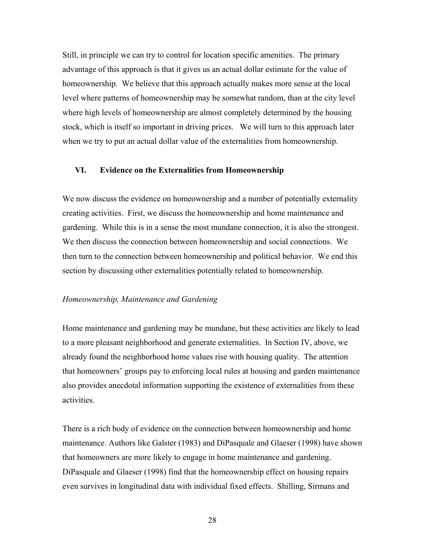Still, in principle we can try to control for location specific amenities. The primary advantage of this approach is that it gives us an actual dollar estimate for the value of homeownership. We believe that this approach actually makes more sense at the local level where patterns of homeownership may be somewhat random, than at the city level where high levels of homeownership are almost completely determined by the housing stock, which is itself so important in driving prices. We will turn to this approach later when we try to put an actual dollar value of the externalities from homeownership.

#### **VI. Evidence on the Externalities from Homeownership**

We now discuss the evidence on homeownership and a number of potentially externality creating activities. First, we discuss the homeownership and home maintenance and gardening. While this is in a sense the most mundane connection, it is also the strongest. We then discuss the connection between homeownership and social connections. We then turn to the connection between homeownership and political behavior. We end this section by discussing other externalities potentially related to homeownership.

#### *Homeownership, Maintenance and Gardening*

Home maintenance and gardening may be mundane, but these activities are likely to lead to a more pleasant neighborhood and generate externalities. In Section IV, above, we already found the neighborhood home values rise with housing quality. The attention that homeowners' groups pay to enforcing local rules at housing and garden maintenance also provides anecdotal information supporting the existence of externalities from these activities.

There is a rich body of evidence on the connection between homeownership and home maintenance. Authors like Galster (1983) and DiPasquale and Glaeser (1998) have shown that homeowners are more likely to engage in home maintenance and gardening. DiPasquale and Glaeser (1998) find that the homeownership effect on housing repairs even survives in longitudinal data with individual fixed effects. Shilling, Sirmans and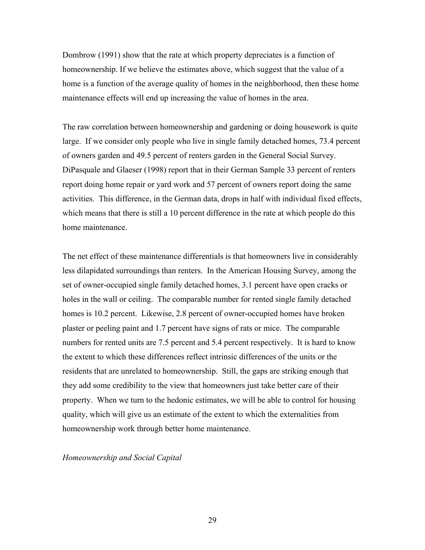Dombrow (1991) show that the rate at which property depreciates is a function of homeownership. If we believe the estimates above, which suggest that the value of a home is a function of the average quality of homes in the neighborhood, then these home maintenance effects will end up increasing the value of homes in the area.

The raw correlation between homeownership and gardening or doing housework is quite large. If we consider only people who live in single family detached homes, 73.4 percent of owners garden and 49.5 percent of renters garden in the General Social Survey. DiPasquale and Glaeser (1998) report that in their German Sample 33 percent of renters report doing home repair or yard work and 57 percent of owners report doing the same activities. This difference, in the German data, drops in half with individual fixed effects, which means that there is still a 10 percent difference in the rate at which people do this home maintenance.

The net effect of these maintenance differentials is that homeowners live in considerably less dilapidated surroundings than renters. In the American Housing Survey, among the set of owner-occupied single family detached homes, 3.1 percent have open cracks or holes in the wall or ceiling. The comparable number for rented single family detached homes is 10.2 percent. Likewise, 2.8 percent of owner-occupied homes have broken plaster or peeling paint and 1.7 percent have signs of rats or mice. The comparable numbers for rented units are 7.5 percent and 5.4 percent respectively. It is hard to know the extent to which these differences reflect intrinsic differences of the units or the residents that are unrelated to homeownership. Still, the gaps are striking enough that they add some credibility to the view that homeowners just take better care of their property. When we turn to the hedonic estimates, we will be able to control for housing quality, which will give us an estimate of the extent to which the externalities from homeownership work through better home maintenance.

*Homeownership and Social Capital*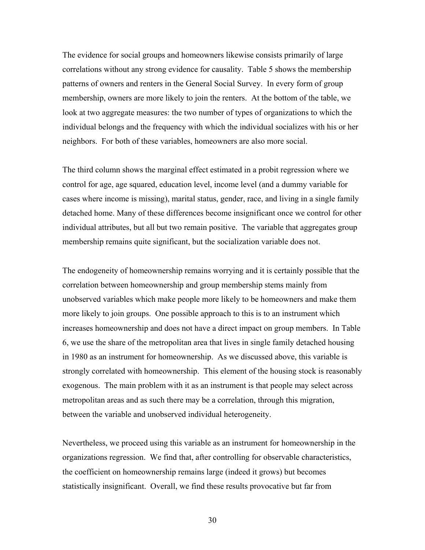The evidence for social groups and homeowners likewise consists primarily of large correlations without any strong evidence for causality. Table 5 shows the membership patterns of owners and renters in the General Social Survey. In every form of group membership, owners are more likely to join the renters. At the bottom of the table, we look at two aggregate measures: the two number of types of organizations to which the individual belongs and the frequency with which the individual socializes with his or her neighbors. For both of these variables, homeowners are also more social.

The third column shows the marginal effect estimated in a probit regression where we control for age, age squared, education level, income level (and a dummy variable for cases where income is missing), marital status, gender, race, and living in a single family detached home. Many of these differences become insignificant once we control for other individual attributes, but all but two remain positive. The variable that aggregates group membership remains quite significant, but the socialization variable does not.

The endogeneity of homeownership remains worrying and it is certainly possible that the correlation between homeownership and group membership stems mainly from unobserved variables which make people more likely to be homeowners and make them more likely to join groups. One possible approach to this is to an instrument which increases homeownership and does not have a direct impact on group members. In Table 6, we use the share of the metropolitan area that lives in single family detached housing in 1980 as an instrument for homeownership. As we discussed above, this variable is strongly correlated with homeownership. This element of the housing stock is reasonably exogenous. The main problem with it as an instrument is that people may select across metropolitan areas and as such there may be a correlation, through this migration, between the variable and unobserved individual heterogeneity.

Nevertheless, we proceed using this variable as an instrument for homeownership in the organizations regression. We find that, after controlling for observable characteristics, the coefficient on homeownership remains large (indeed it grows) but becomes statistically insignificant. Overall, we find these results provocative but far from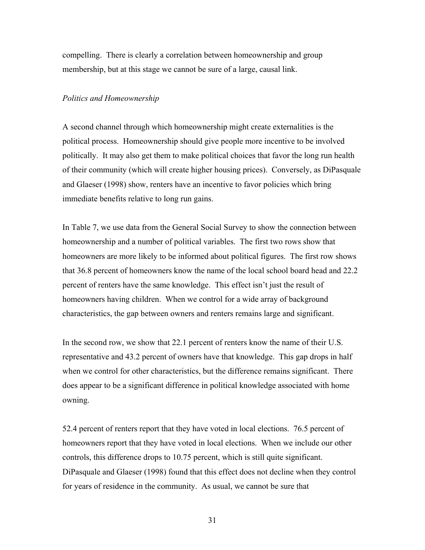compelling. There is clearly a correlation between homeownership and group membership, but at this stage we cannot be sure of a large, causal link.

#### *Politics and Homeownership*

A second channel through which homeownership might create externalities is the political process. Homeownership should give people more incentive to be involved politically. It may also get them to make political choices that favor the long run health of their community (which will create higher housing prices). Conversely, as DiPasquale and Glaeser (1998) show, renters have an incentive to favor policies which bring immediate benefits relative to long run gains.

In Table 7, we use data from the General Social Survey to show the connection between homeownership and a number of political variables. The first two rows show that homeowners are more likely to be informed about political figures. The first row shows that 36.8 percent of homeowners know the name of the local school board head and 22.2 percent of renters have the same knowledge. This effect isn't just the result of homeowners having children. When we control for a wide array of background characteristics, the gap between owners and renters remains large and significant.

In the second row, we show that 22.1 percent of renters know the name of their U.S. representative and 43.2 percent of owners have that knowledge. This gap drops in half when we control for other characteristics, but the difference remains significant. There does appear to be a significant difference in political knowledge associated with home owning.

52.4 percent of renters report that they have voted in local elections. 76.5 percent of homeowners report that they have voted in local elections. When we include our other controls, this difference drops to 10.75 percent, which is still quite significant. DiPasquale and Glaeser (1998) found that this effect does not decline when they control for years of residence in the community. As usual, we cannot be sure that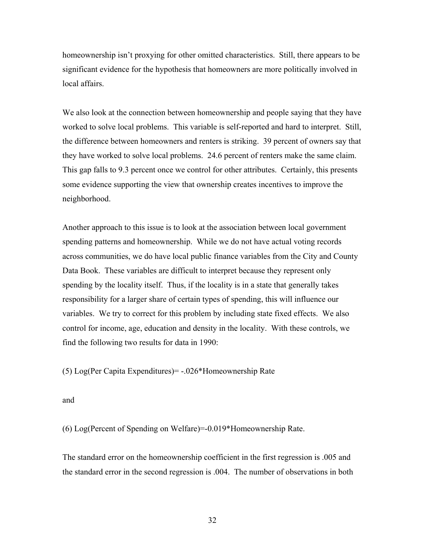homeownership isn't proxying for other omitted characteristics. Still, there appears to be significant evidence for the hypothesis that homeowners are more politically involved in local affairs.

We also look at the connection between homeownership and people saying that they have worked to solve local problems. This variable is self-reported and hard to interpret. Still, the difference between homeowners and renters is striking. 39 percent of owners say that they have worked to solve local problems. 24.6 percent of renters make the same claim. This gap falls to 9.3 percent once we control for other attributes. Certainly, this presents some evidence supporting the view that ownership creates incentives to improve the neighborhood.

Another approach to this issue is to look at the association between local government spending patterns and homeownership. While we do not have actual voting records across communities, we do have local public finance variables from the City and County Data Book. These variables are difficult to interpret because they represent only spending by the locality itself. Thus, if the locality is in a state that generally takes responsibility for a larger share of certain types of spending, this will influence our variables. We try to correct for this problem by including state fixed effects. We also control for income, age, education and density in the locality. With these controls, we find the following two results for data in 1990:

(5) Log(Per Capita Expenditures)= -.026\*Homeownership Rate

and

(6) Log(Percent of Spending on Welfare)=-0.019\*Homeownership Rate.

The standard error on the homeownership coefficient in the first regression is .005 and the standard error in the second regression is .004. The number of observations in both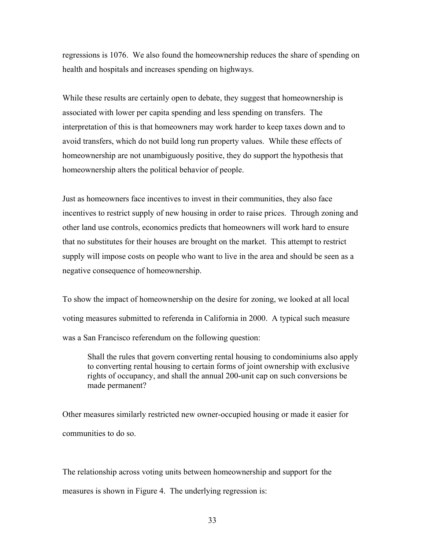regressions is 1076. We also found the homeownership reduces the share of spending on health and hospitals and increases spending on highways.

While these results are certainly open to debate, they suggest that homeownership is associated with lower per capita spending and less spending on transfers. The interpretation of this is that homeowners may work harder to keep taxes down and to avoid transfers, which do not build long run property values. While these effects of homeownership are not unambiguously positive, they do support the hypothesis that homeownership alters the political behavior of people.

Just as homeowners face incentives to invest in their communities, they also face incentives to restrict supply of new housing in order to raise prices. Through zoning and other land use controls, economics predicts that homeowners will work hard to ensure that no substitutes for their houses are brought on the market. This attempt to restrict supply will impose costs on people who want to live in the area and should be seen as a negative consequence of homeownership.

To show the impact of homeownership on the desire for zoning, we looked at all local voting measures submitted to referenda in California in 2000. A typical such measure was a San Francisco referendum on the following question:

Shall the rules that govern converting rental housing to condominiums also apply to converting rental housing to certain forms of joint ownership with exclusive rights of occupancy, and shall the annual 200-unit cap on such conversions be made permanent?

Other measures similarly restricted new owner-occupied housing or made it easier for communities to do so.

The relationship across voting units between homeownership and support for the measures is shown in Figure 4. The underlying regression is: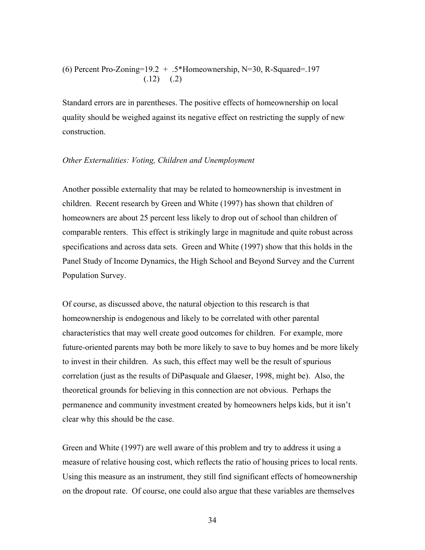(6) Percent Pro-Zoning= $19.2 + .5*$ Homeownership, N=30, R-Squared=.197  $(.12)$   $(.2)$ 

Standard errors are in parentheses. The positive effects of homeownership on local quality should be weighed against its negative effect on restricting the supply of new construction.

#### *Other Externalities: Voting, Children and Unemployment*

Another possible externality that may be related to homeownership is investment in children. Recent research by Green and White (1997) has shown that children of homeowners are about 25 percent less likely to drop out of school than children of comparable renters. This effect is strikingly large in magnitude and quite robust across specifications and across data sets. Green and White (1997) show that this holds in the Panel Study of Income Dynamics, the High School and Beyond Survey and the Current Population Survey.

Of course, as discussed above, the natural objection to this research is that homeownership is endogenous and likely to be correlated with other parental characteristics that may well create good outcomes for children. For example, more future-oriented parents may both be more likely to save to buy homes and be more likely to invest in their children. As such, this effect may well be the result of spurious correlation (just as the results of DiPasquale and Glaeser, 1998, might be). Also, the theoretical grounds for believing in this connection are not obvious. Perhaps the permanence and community investment created by homeowners helps kids, but it isn't clear why this should be the case.

Green and White (1997) are well aware of this problem and try to address it using a measure of relative housing cost, which reflects the ratio of housing prices to local rents. Using this measure as an instrument, they still find significant effects of homeownership on the dropout rate. Of course, one could also argue that these variables are themselves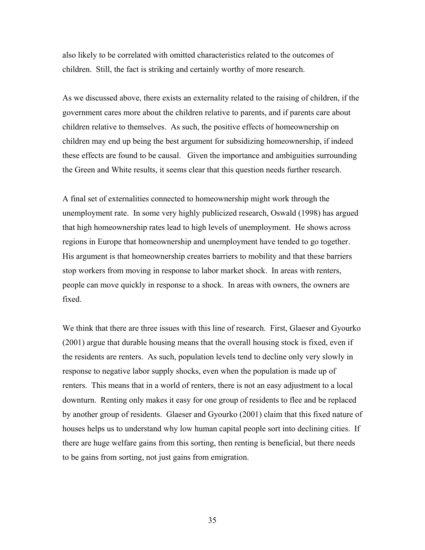also likely to be correlated with omitted characteristics related to the outcomes of children. Still, the fact is striking and certainly worthy of more research.

As we discussed above, there exists an externality related to the raising of children, if the government cares more about the children relative to parents, and if parents care about children relative to themselves. As such, the positive effects of homeownership on children may end up being the best argument for subsidizing homeownership, if indeed these effects are found to be causal. Given the importance and ambiguities surrounding the Green and White results, it seems clear that this question needs further research.

A final set of externalities connected to homeownership might work through the unemployment rate. In some very highly publicized research, Oswald (1998) has argued that high homeownership rates lead to high levels of unemployment. He shows across regions in Europe that homeownership and unemployment have tended to go together. His argument is that homeownership creates barriers to mobility and that these barriers stop workers from moving in response to labor market shock. In areas with renters, people can move quickly in response to a shock. In areas with owners, the owners are fixed.

We think that there are three issues with this line of research. First, Glaeser and Gyourko (2001) argue that durable housing means that the overall housing stock is fixed, even if the residents are renters. As such, population levels tend to decline only very slowly in response to negative labor supply shocks, even when the population is made up of renters. This means that in a world of renters, there is not an easy adjustment to a local downturn. Renting only makes it easy for one group of residents to flee and be replaced by another group of residents. Glaeser and Gyourko (2001) claim that this fixed nature of houses helps us to understand why low human capital people sort into declining cities. If there are huge welfare gains from this sorting, then renting is beneficial, but there needs to be gains from sorting, not just gains from emigration.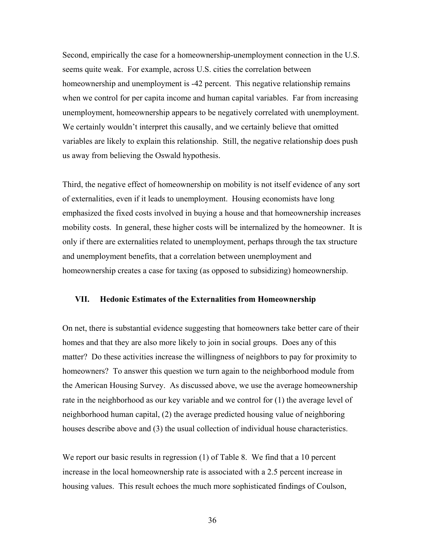Second, empirically the case for a homeownership-unemployment connection in the U.S. seems quite weak. For example, across U.S. cities the correlation between homeownership and unemployment is -42 percent. This negative relationship remains when we control for per capita income and human capital variables. Far from increasing unemployment, homeownership appears to be negatively correlated with unemployment. We certainly wouldn't interpret this causally, and we certainly believe that omitted variables are likely to explain this relationship. Still, the negative relationship does push us away from believing the Oswald hypothesis.

Third, the negative effect of homeownership on mobility is not itself evidence of any sort of externalities, even if it leads to unemployment. Housing economists have long emphasized the fixed costs involved in buying a house and that homeownership increases mobility costs. In general, these higher costs will be internalized by the homeowner. It is only if there are externalities related to unemployment, perhaps through the tax structure and unemployment benefits, that a correlation between unemployment and homeownership creates a case for taxing (as opposed to subsidizing) homeownership.

#### **VII. Hedonic Estimates of the Externalities from Homeownership**

On net, there is substantial evidence suggesting that homeowners take better care of their homes and that they are also more likely to join in social groups. Does any of this matter? Do these activities increase the willingness of neighbors to pay for proximity to homeowners? To answer this question we turn again to the neighborhood module from the American Housing Survey. As discussed above, we use the average homeownership rate in the neighborhood as our key variable and we control for (1) the average level of neighborhood human capital, (2) the average predicted housing value of neighboring houses describe above and (3) the usual collection of individual house characteristics.

We report our basic results in regression (1) of Table 8. We find that a 10 percent increase in the local homeownership rate is associated with a 2.5 percent increase in housing values. This result echoes the much more sophisticated findings of Coulson,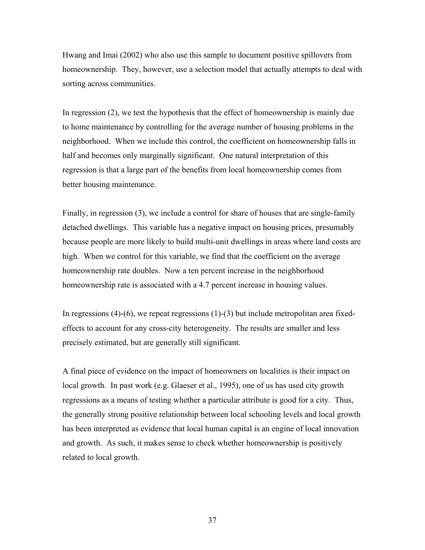Hwang and Imai (2002) who also use this sample to document positive spillovers from homeownership. They, however, use a selection model that actually attempts to deal with sorting across communities.

In regression (2), we test the hypothesis that the effect of homeownership is mainly due to home maintenance by controlling for the average number of housing problems in the neighborhood. When we include this control, the coefficient on homeownership falls in half and becomes only marginally significant. One natural interpretation of this regression is that a large part of the benefits from local homeownership comes from better housing maintenance.

Finally, in regression (3), we include a control for share of houses that are single-family detached dwellings. This variable has a negative impact on housing prices, presumably because people are more likely to build multi-unit dwellings in areas where land costs are high. When we control for this variable, we find that the coefficient on the average homeownership rate doubles. Now a ten percent increase in the neighborhood homeownership rate is associated with a 4.7 percent increase in housing values.

In regressions  $(4)-(6)$ , we repeat regressions  $(1)-(3)$  but include metropolitan area fixedeffects to account for any cross-city heterogeneity. The results are smaller and less precisely estimated, but are generally still significant.

A final piece of evidence on the impact of homeowners on localities is their impact on local growth. In past work (e.g. Glaeser et al., 1995), one of us has used city growth regressions as a means of testing whether a particular attribute is good for a city. Thus, the generally strong positive relationship between local schooling levels and local growth has been interpreted as evidence that local human capital is an engine of local innovation and growth. As such, it makes sense to check whether homeownership is positively related to local growth.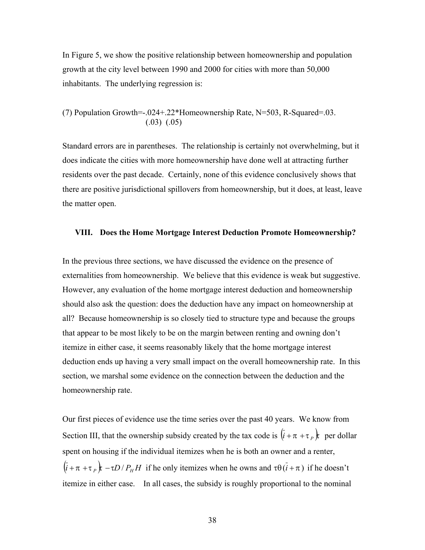In Figure 5, we show the positive relationship between homeownership and population growth at the city level between 1990 and 2000 for cities with more than 50,000 inhabitants. The underlying regression is:

(7) Population Growth=-.024+.22\*Homeownership Rate, N=503, R-Squared=.03.  $(.03)$   $(.05)$ 

Standard errors are in parentheses. The relationship is certainly not overwhelming, but it does indicate the cities with more homeownership have done well at attracting further residents over the past decade. Certainly, none of this evidence conclusively shows that there are positive jurisdictional spillovers from homeownership, but it does, at least, leave the matter open.

#### **VIII. Does the Home Mortgage Interest Deduction Promote Homeownership?**

In the previous three sections, we have discussed the evidence on the presence of externalities from homeownership. We believe that this evidence is weak but suggestive. However, any evaluation of the home mortgage interest deduction and homeownership should also ask the question: does the deduction have any impact on homeownership at all? Because homeownership is so closely tied to structure type and because the groups that appear to be most likely to be on the margin between renting and owning don't itemize in either case, it seems reasonably likely that the home mortgage interest deduction ends up having a very small impact on the overall homeownership rate. In this section, we marshal some evidence on the connection between the deduction and the homeownership rate.

Our first pieces of evidence use the time series over the past 40 years. We know from Section III, that the ownership subsidy created by the tax code is  $(\vec{i} + \pi + \tau)$  *i* per dollar spent on housing if the individual itemizes when he is both an owner and a renter,  $(\bar{i} + \pi + \tau)$  +  $\tau$   $\to$   $\tau$ *D* / *P<sub>H</sub>H* if he only itemizes when he owns and  $\tau \theta$  ( $\bar{i} + \pi$ ) if he doesn't itemize in either case. In all cases, the subsidy is roughly proportional to the nominal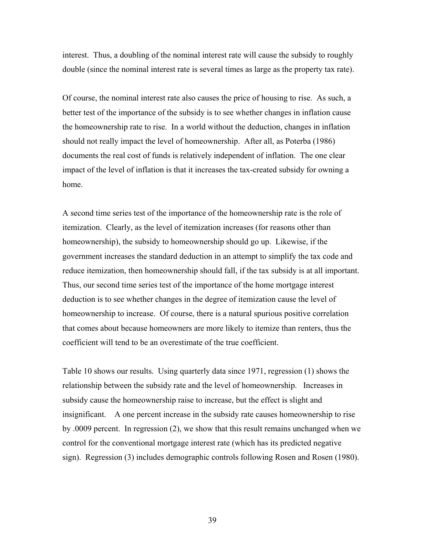interest. Thus, a doubling of the nominal interest rate will cause the subsidy to roughly double (since the nominal interest rate is several times as large as the property tax rate).

Of course, the nominal interest rate also causes the price of housing to rise. As such, a better test of the importance of the subsidy is to see whether changes in inflation cause the homeownership rate to rise. In a world without the deduction, changes in inflation should not really impact the level of homeownership. After all, as Poterba (1986) documents the real cost of funds is relatively independent of inflation. The one clear impact of the level of inflation is that it increases the tax-created subsidy for owning a home.

A second time series test of the importance of the homeownership rate is the role of itemization. Clearly, as the level of itemization increases (for reasons other than homeownership), the subsidy to homeownership should go up. Likewise, if the government increases the standard deduction in an attempt to simplify the tax code and reduce itemization, then homeownership should fall, if the tax subsidy is at all important. Thus, our second time series test of the importance of the home mortgage interest deduction is to see whether changes in the degree of itemization cause the level of homeownership to increase. Of course, there is a natural spurious positive correlation that comes about because homeowners are more likely to itemize than renters, thus the coefficient will tend to be an overestimate of the true coefficient.

Table 10 shows our results. Using quarterly data since 1971, regression (1) shows the relationship between the subsidy rate and the level of homeownership. Increases in subsidy cause the homeownership raise to increase, but the effect is slight and insignificant. A one percent increase in the subsidy rate causes homeownership to rise by .0009 percent. In regression (2), we show that this result remains unchanged when we control for the conventional mortgage interest rate (which has its predicted negative sign). Regression (3) includes demographic controls following Rosen and Rosen (1980).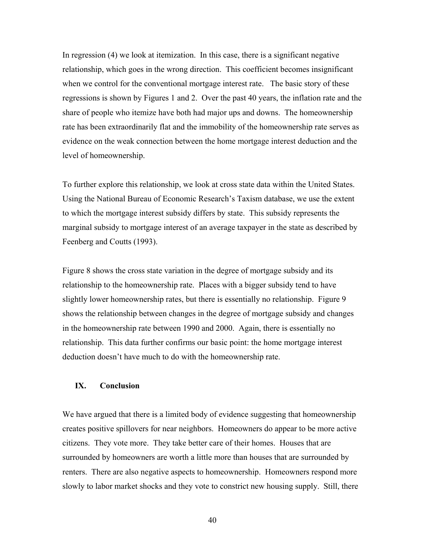In regression (4) we look at itemization. In this case, there is a significant negative relationship, which goes in the wrong direction. This coefficient becomes insignificant when we control for the conventional mortgage interest rate. The basic story of these regressions is shown by Figures 1 and 2. Over the past 40 years, the inflation rate and the share of people who itemize have both had major ups and downs. The homeownership rate has been extraordinarily flat and the immobility of the homeownership rate serves as evidence on the weak connection between the home mortgage interest deduction and the level of homeownership.

To further explore this relationship, we look at cross state data within the United States. Using the National Bureau of Economic Research's Taxism database, we use the extent to which the mortgage interest subsidy differs by state. This subsidy represents the marginal subsidy to mortgage interest of an average taxpayer in the state as described by Feenberg and Coutts (1993).

Figure 8 shows the cross state variation in the degree of mortgage subsidy and its relationship to the homeownership rate. Places with a bigger subsidy tend to have slightly lower homeownership rates, but there is essentially no relationship. Figure 9 shows the relationship between changes in the degree of mortgage subsidy and changes in the homeownership rate between 1990 and 2000. Again, there is essentially no relationship. This data further confirms our basic point: the home mortgage interest deduction doesn't have much to do with the homeownership rate.

#### **IX. Conclusion**

We have argued that there is a limited body of evidence suggesting that homeownership creates positive spillovers for near neighbors. Homeowners do appear to be more active citizens. They vote more. They take better care of their homes. Houses that are surrounded by homeowners are worth a little more than houses that are surrounded by renters. There are also negative aspects to homeownership. Homeowners respond more slowly to labor market shocks and they vote to constrict new housing supply. Still, there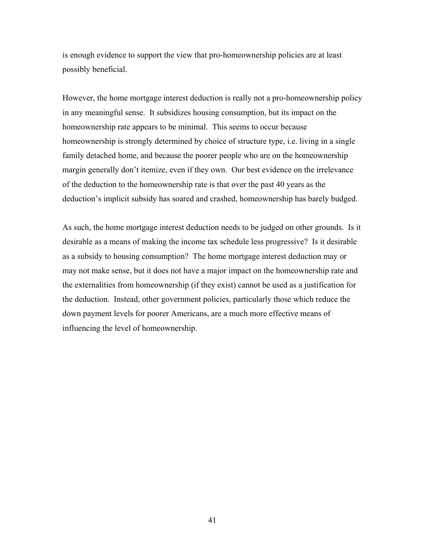is enough evidence to support the view that pro-homeownership policies are at least possibly beneficial.

However, the home mortgage interest deduction is really not a pro-homeownership policy in any meaningful sense. It subsidizes housing consumption, but its impact on the homeownership rate appears to be minimal. This seems to occur because homeownership is strongly determined by choice of structure type, i.e. living in a single family detached home, and because the poorer people who are on the homeownership margin generally don't itemize, even if they own. Our best evidence on the irrelevance of the deduction to the homeownership rate is that over the past 40 years as the deduction's implicit subsidy has soared and crashed, homeownership has barely budged.

As such, the home mortgage interest deduction needs to be judged on other grounds. Is it desirable as a means of making the income tax schedule less progressive? Is it desirable as a subsidy to housing consumption? The home mortgage interest deduction may or may not make sense, but it does not have a major impact on the homeownership rate and the externalities from homeownership (if they exist) cannot be used as a justification for the deduction. Instead, other government policies, particularly those which reduce the down payment levels for poorer Americans, are a much more effective means of influencing the level of homeownership.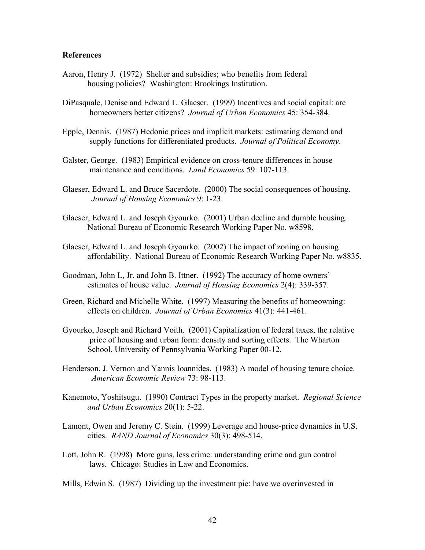#### **References**

- Aaron, Henry J. (1972) Shelter and subsidies; who benefits from federal housing policies? Washington: Brookings Institution.
- DiPasquale, Denise and Edward L. Glaeser. (1999) Incentives and social capital: are homeowners better citizens? *Journal of Urban Economics* 45: 354-384.
- Epple, Dennis. (1987) Hedonic prices and implicit markets: estimating demand and supply functions for differentiated products. *Journal of Political Economy*.
- Galster, George. (1983) Empirical evidence on cross-tenure differences in house maintenance and conditions. *Land Economics* 59: 107-113.
- Glaeser, Edward L. and Bruce Sacerdote. (2000) The social consequences of housing. *Journal of Housing Economics* 9: 1-23.
- Glaeser, Edward L. and Joseph Gyourko. (2001) Urban decline and durable housing. National Bureau of Economic Research Working Paper No. w8598.
- Glaeser, Edward L. and Joseph Gyourko. (2002) The impact of zoning on housing affordability. National Bureau of Economic Research Working Paper No. w8835.
- Goodman, John L, Jr. and John B. Ittner. (1992) The accuracy of home owners' estimates of house value. *Journal of Housing Economics* 2(4): 339-357.
- Green, Richard and Michelle White. (1997) Measuring the benefits of homeowning: effects on children. *Journal of Urban Economics* 41(3): 441-461.
- Gyourko, Joseph and Richard Voith. (2001) Capitalization of federal taxes, the relative price of housing and urban form: density and sorting effects. The Wharton School, University of Pennsylvania Working Paper 00-12.
- Henderson, J. Vernon and Yannis Ioannides. (1983) A model of housing tenure choice. *American Economic Review* 73: 98-113.
- Kanemoto, Yoshitsugu. (1990) Contract Types in the property market. *Regional Science and Urban Economics* 20(1): 5-22.
- Lamont, Owen and Jeremy C. Stein. (1999) Leverage and house-price dynamics in U.S. cities. *RAND Journal of Economics* 30(3): 498-514.
- Lott, John R. (1998) More guns, less crime: understanding crime and gun control laws. Chicago: Studies in Law and Economics.
- Mills, Edwin S. (1987) Dividing up the investment pie: have we overinvested in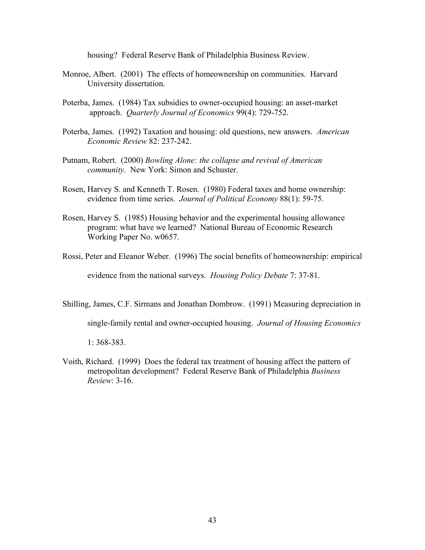housing? Federal Reserve Bank of Philadelphia Business Review.

- Monroe, Albert. (2001) The effects of homeownership on communities. Harvard University dissertation.
- Poterba, James. (1984) Tax subsidies to owner-occupied housing: an asset-market approach. *Quarterly Journal of Economics* 99(4): 729-752.
- Poterba, James. (1992) Taxation and housing: old questions, new answers. *American Economic Review* 82: 237-242.
- Putnam, Robert. (2000) *Bowling Alone: the collapse and revival of American community*. New York: Simon and Schuster.
- Rosen, Harvey S. and Kenneth T. Rosen. (1980) Federal taxes and home ownership: evidence from time series. *Journal of Political Economy* 88(1): 59-75.
- Rosen, Harvey S. (1985) Housing behavior and the experimental housing allowance program: what have we learned? National Bureau of Economic Research Working Paper No. w0657.
- Rossi, Peter and Eleanor Weber. (1996) The social benefits of homeownership: empirical

evidence from the national surveys. *Housing Policy Debate* 7: 37-81.

Shilling, James, C.F. Sirmans and Jonathan Dombrow. (1991) Measuring depreciation in

single-family rental and owner-occupied housing. *Journal of Housing Economics*

1: 368-383.

Voith, Richard. (1999) Does the federal tax treatment of housing affect the pattern of metropolitan development? Federal Reserve Bank of Philadelphia *Business Review*: 3-16.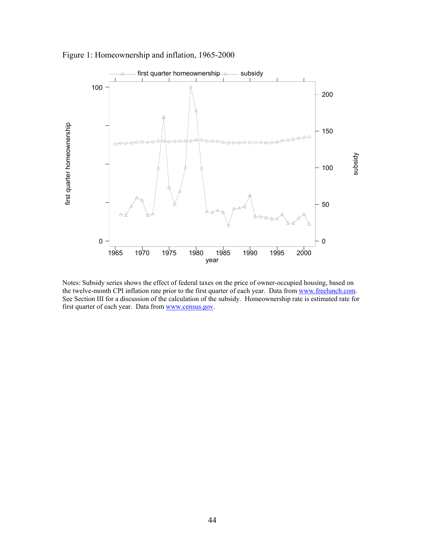

Figure 1: Homeownership and inflation, 1965-2000

Notes: Subsidy series shows the effect of federal taxes on the price of owner-occupied housing, based on the twelve-month CPI inflation rate prior to the first quarter of each year. Data from [www.freelunch.com.](http://www.freelunch.com/) See Section III for a discussion of the calculation of the subsidy. Homeownership rate is estimated rate for first quarter of each year. Data from [www.census.gov.](http://www.census.gov/)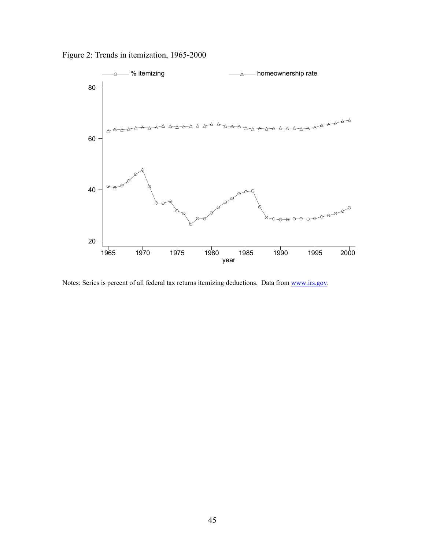Figure 2: Trends in itemization, 1965-2000



Notes: Series is percent of all federal tax returns itemizing deductions. Data from [www.irs.gov.](http://www.irs.gov/)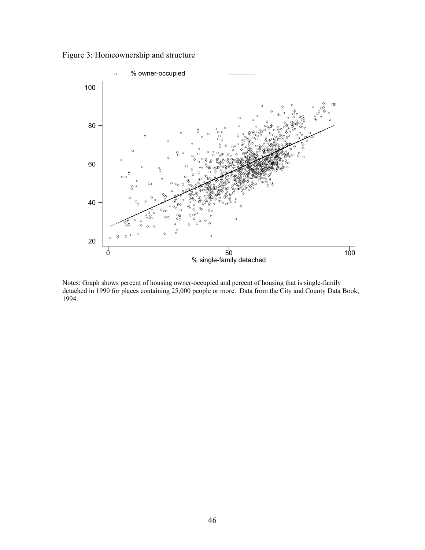Figure 3: Homeownership and structure



Notes: Graph shows percent of housing owner-occupied and percent of housing that is single-family detached in 1990 for places containing 25,000 people or more. Data from the City and County Data Book, 1994.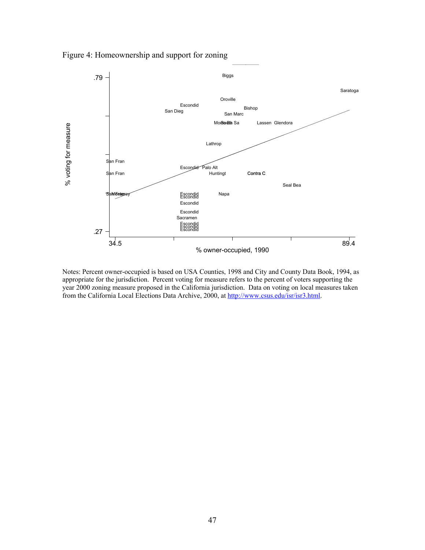

Figure 4: Homeownership and support for zoning

Notes: Percent owner-occupied is based on USA Counties, 1998 and City and County Data Book, 1994, as appropriate for the jurisdiction. Percent voting for measure refers to the percent of voters supporting the year 2000 zoning measure proposed in the California jurisdiction. Data on voting on local measures taken from the California Local Elections Data Archive, 2000, at [http://www.csus.edu/isr/isr3.html.](http://www.csus.edu/isr/isr3.html)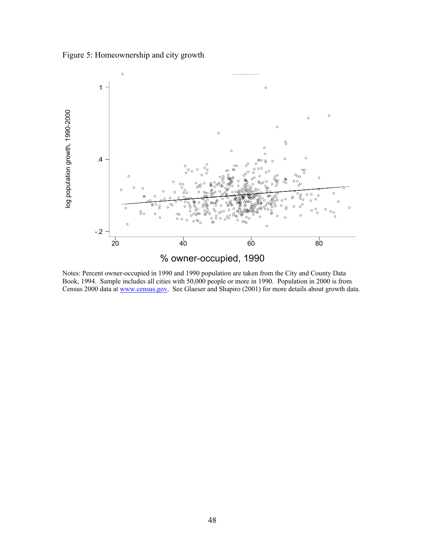Figure 5: Homeownership and city growth



Notes: Percent owner-occupied in 1990 and 1990 population are taken from the City and County Data Book, 1994. Sample includes all cities with 50,000 people or more in 1990. Population in 2000 is from Census 2000 data at [www.census.gov.](http://www.census.gov/) See Glaeser and Shapiro (2001) for more details about growth data.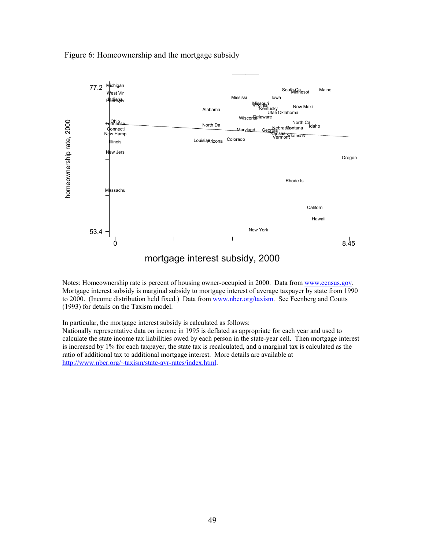

Figure 6: Homeownership and the mortgage subsidy

Notes: Homeownership rate is percent of housing owner-occupied in 2000. Data from [www.census.gov.](http://www.census.gov/) Mortgage interest subsidy is marginal subsidy to mortgage interest of average taxpayer by state from 1990 to 2000. (Income distribution held fixed.) Data from [www.nber.org/taxism.](http://www.nber.org/taxsim) See Feenberg and Coutts (1993) for details on the Taxism model.

In particular, the mortgage interest subsidy is calculated as follows:

Nationally representative data on income in 1995 is deflated as appropriate for each year and used to calculate the state income tax liabilities owed by each person in the state-year cell. Then mortgage interest is increased by 1% for each taxpayer, the state tax is recalculated, and a marginal tax is calculated as the ratio of additional tax to additional mortgage interest. More details are available at [http://www.nber.org/~taxism/state-avr-rates/index.html.](http://www.nber.org/~taxsim/state-avr-rates/index.html)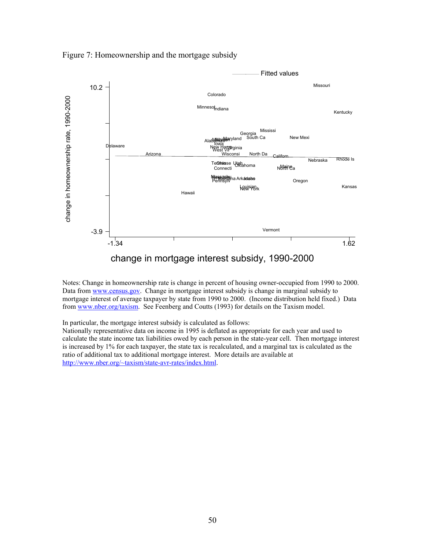

Figure 7: Homeownership and the mortgage subsidy

Notes: Change in homeownership rate is change in percent of housing owner-occupied from 1990 to 2000. Data from [www.census.gov.](http://www.census.gov/) Change in mortgage interest subsidy is change in marginal subsidy to mortgage interest of average taxpayer by state from 1990 to 2000. (Income distribution held fixed.) Data from [www.nber.org/taxism.](http://www.nber.org/taxsim) See Feenberg and Coutts (1993) for details on the Taxism model.

In particular, the mortgage interest subsidy is calculated as follows:

Nationally representative data on income in 1995 is deflated as appropriate for each year and used to calculate the state income tax liabilities owed by each person in the state-year cell. Then mortgage interest is increased by 1% for each taxpayer, the state tax is recalculated, and a marginal tax is calculated as the ratio of additional tax to additional mortgage interest. More details are available at [http://www.nber.org/~taxism/state-avr-rates/index.html.](http://www.nber.org/~taxsim/state-avr-rates/index.html)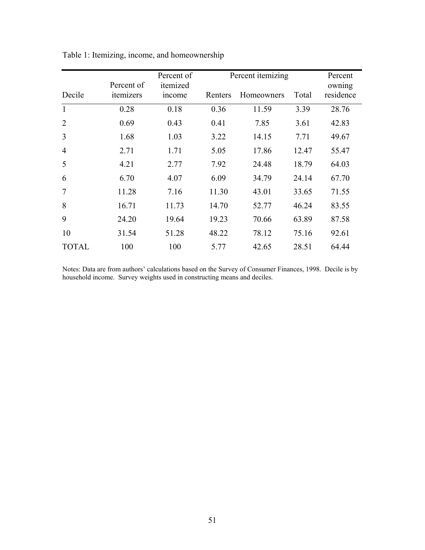|                | Percent of | Percent of<br>itemized |         | Percent itemizing |       | Percent<br>owning |
|----------------|------------|------------------------|---------|-------------------|-------|-------------------|
| Decile         | itemizers  | <i>n</i> come          | Renters | Homeowners        | Total | residence         |
| $\mathbf{1}$   | 0.28       | 0.18                   | 0.36    | 11.59             | 3.39  | 28.76             |
| $\overline{2}$ | 0.69       | 0.43                   | 0.41    | 7.85              | 3.61  | 42.83             |
| 3              | 1.68       | 1.03                   | 3.22    | 14.15             | 7.71  | 49.67             |
| $\overline{4}$ | 2.71       | 1.71                   | 5.05    | 17.86             | 12.47 | 55.47             |
| 5              | 4.21       | 2.77                   | 7.92    | 24.48             | 18.79 | 64.03             |
| 6              | 6.70       | 4.07                   | 6.09    | 34.79             | 24.14 | 67.70             |
| $\overline{7}$ | 11.28      | 7.16                   | 11.30   | 43.01             | 33.65 | 71.55             |
| 8              | 16.71      | 11.73                  | 14.70   | 52.77             | 46.24 | 83.55             |
| 9              | 24.20      | 19.64                  | 19.23   | 70.66             | 63.89 | 87.58             |
| 10             | 31.54      | 51.28                  | 48.22   | 78.12             | 75.16 | 92.61             |
| <b>TOTAL</b>   | 100        | 100                    | 5.77    | 42.65             | 28.51 | 64.44             |

Table 1: Itemizing, income, and homeownership

Notes: Data are from authors' calculations based on the Survey of Consumer Finances, 1998. Decile is by household income. Survey weights used in constructing means and deciles.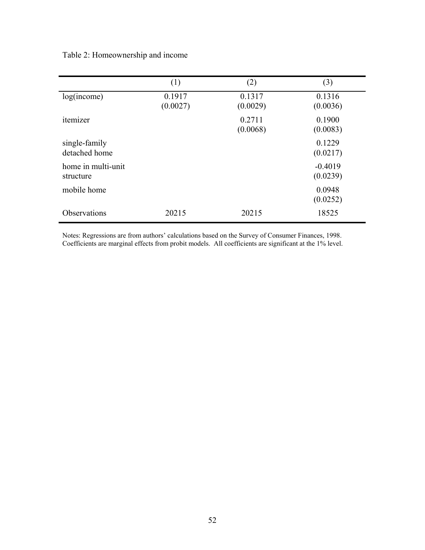| Table 2: Homeownership and income |  |
|-----------------------------------|--|
|                                   |  |
|                                   |  |

|                                 | (1)                | (2)                | (3)                   |
|---------------------------------|--------------------|--------------------|-----------------------|
| log(income)                     | 0.1917<br>(0.0027) | 0.1317<br>(0.0029) | 0.1316<br>(0.0036)    |
| itemizer                        |                    | 0.2711<br>(0.0068) | 0.1900<br>(0.0083)    |
| single-family<br>detached home  |                    |                    | 0.1229<br>(0.0217)    |
| home in multi-unit<br>structure |                    |                    | $-0.4019$<br>(0.0239) |
| mobile home                     |                    |                    | 0.0948<br>(0.0252)    |
| <b>Observations</b>             | 20215              | 20215              | 18525                 |

Notes: Regressions are from authors' calculations based on the Survey of Consumer Finances, 1998. Coefficients are marginal effects from probit models. All coefficients are significant at the 1% level.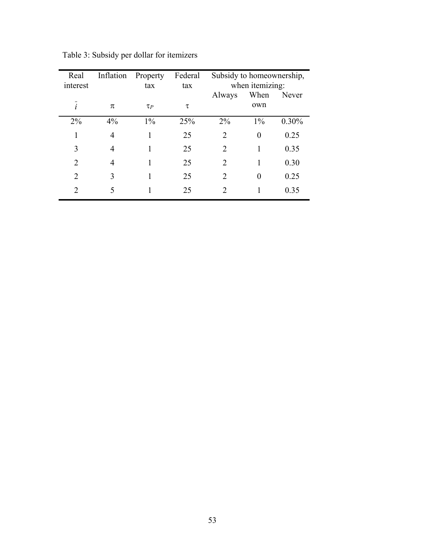| Real<br>interest            | Inflation | Property<br>tax | Federal<br>tax | Subsidy to homeownership, | when itemizing: |          |
|-----------------------------|-----------|-----------------|----------------|---------------------------|-----------------|----------|
|                             |           |                 |                | Always                    | When<br>own     | Never    |
| i                           | π         | $\tau_P$        | τ              |                           |                 |          |
| 2%                          | $4\%$     | $1\%$           | 25%            | $2\%$                     | $1\%$           | $0.30\%$ |
|                             | 4         |                 | 25             | 2                         | 0               | 0.25     |
| 3                           | 4         |                 | 25             | 2                         |                 | 0.35     |
| $\mathcal{D}_{\mathcal{L}}$ | 4         |                 | 25             | $\mathcal{L}$             |                 | 0.30     |
| $\mathfrak{D}$              | 3         |                 | 25             | $\mathfrak{D}$            | 0               | 0.25     |
| $\mathcal{D}_{1}^{(1)}$     | 5         |                 | 25             | 2                         |                 | 0.35     |

Table 3: Subsidy per dollar for itemizers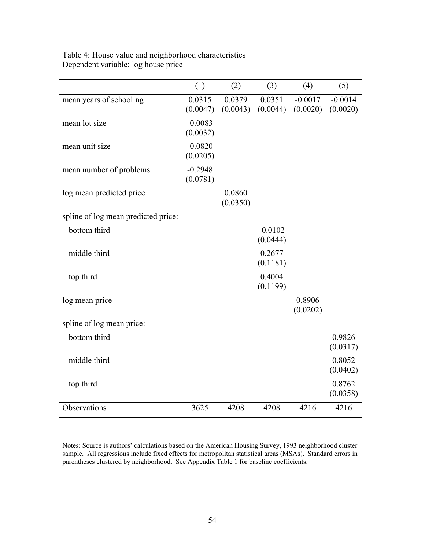|                                     | (1)                   | (2)                | (3)                   | (4)                   | (5)                   |
|-------------------------------------|-----------------------|--------------------|-----------------------|-----------------------|-----------------------|
| mean years of schooling             | 0.0315<br>(0.0047)    | 0.0379<br>(0.0043) | 0.0351<br>(0.0044)    | $-0.0017$<br>(0.0020) | $-0.0014$<br>(0.0020) |
| mean lot size                       | $-0.0083$<br>(0.0032) |                    |                       |                       |                       |
| mean unit size                      | $-0.0820$<br>(0.0205) |                    |                       |                       |                       |
| mean number of problems             | $-0.2948$<br>(0.0781) |                    |                       |                       |                       |
| log mean predicted price            |                       | 0.0860<br>(0.0350) |                       |                       |                       |
| spline of log mean predicted price: |                       |                    |                       |                       |                       |
| bottom third                        |                       |                    | $-0.0102$<br>(0.0444) |                       |                       |
| middle third                        |                       |                    | 0.2677<br>(0.1181)    |                       |                       |
| top third                           |                       |                    | 0.4004<br>(0.1199)    |                       |                       |
| log mean price                      |                       |                    |                       | 0.8906<br>(0.0202)    |                       |
| spline of log mean price:           |                       |                    |                       |                       |                       |
| bottom third                        |                       |                    |                       |                       | 0.9826<br>(0.0317)    |
| middle third                        |                       |                    |                       |                       | 0.8052<br>(0.0402)    |
| top third                           |                       |                    |                       |                       | 0.8762<br>(0.0358)    |
| Observations                        | 3625                  | 4208               | 4208                  | 4216                  | 4216                  |

Table 4: House value and neighborhood characteristics Dependent variable: log house price

Notes: Source is authors' calculations based on the American Housing Survey, 1993 neighborhood cluster sample. All regressions include fixed effects for metropolitan statistical areas (MSAs). Standard errors in parentheses clustered by neighborhood. See Appendix Table 1 for baseline coefficients.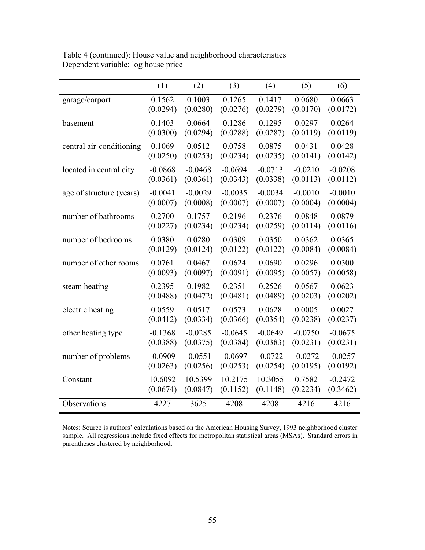|                          | (1)       | (2)       | (3)       | (4)       | (5)       | (6)       |
|--------------------------|-----------|-----------|-----------|-----------|-----------|-----------|
| garage/carport           | 0.1562    | 0.1003    | 0.1265    | 0.1417    | 0.0680    | 0.0663    |
|                          | (0.0294)  | (0.0280)  | (0.0276)  | (0.0279)  | (0.0170)  | (0.0172)  |
| basement                 | 0.1403    | 0.0664    | 0.1286    | 0.1295    | 0.0297    | 0.0264    |
|                          | (0.0300)  | (0.0294)  | (0.0288)  | (0.0287)  | (0.0119)  | (0.0119)  |
| central air-conditioning | 0.1069    | 0.0512    | 0.0758    | 0.0875    | 0.0431    | 0.0428    |
|                          | (0.0250)  | (0.0253)  | (0.0234)  | (0.0235)  | (0.0141)  | (0.0142)  |
| located in central city  | $-0.0868$ | $-0.0468$ | $-0.0694$ | $-0.0713$ | $-0.0210$ | $-0.0208$ |
|                          | (0.0361)  | (0.0361)  | (0.0343)  | (0.0338)  | (0.0113)  | (0.0112)  |
| age of structure (years) | $-0.0041$ | $-0.0029$ | $-0.0035$ | $-0.0034$ | $-0.0010$ | $-0.0010$ |
|                          | (0.0007)  | (0.0008)  | (0.0007)  | (0.0007)  | (0.0004)  | (0.0004)  |
| number of bathrooms      | 0.2700    | 0.1757    | 0.2196    | 0.2376    | 0.0848    | 0.0879    |
|                          | (0.0227)  | (0.0234)  | (0.0234)  | (0.0259)  | (0.0114)  | (0.0116)  |
| number of bedrooms       | 0.0380    | 0.0280    | 0.0309    | 0.0350    | 0.0362    | 0.0365    |
|                          | (0.0129)  | (0.0124)  | (0.0122)  | (0.0122)  | (0.0084)  | (0.0084)  |
| number of other rooms    | 0.0761    | 0.0467    | 0.0624    | 0.0690    | 0.0296    | 0.0300    |
|                          | (0.0093)  | (0.0097)  | (0.0091)  | (0.0095)  | (0.0057)  | (0.0058)  |
| steam heating            | 0.2395    | 0.1982    | 0.2351    | 0.2526    | 0.0567    | 0.0623    |
|                          | (0.0488)  | (0.0472)  | (0.0481)  | (0.0489)  | (0.0203)  | (0.0202)  |
| electric heating         | 0.0559    | 0.0517    | 0.0573    | 0.0628    | 0.0005    | 0.0027    |
|                          | (0.0412)  | (0.0334)  | (0.0366)  | (0.0354)  | (0.0238)  | (0.0237)  |
| other heating type       | $-0.1368$ | $-0.0285$ | $-0.0645$ | $-0.0649$ | $-0.0750$ | $-0.0675$ |
|                          | (0.0388)  | (0.0375)  | (0.0384)  | (0.0383)  | (0.0231)  | (0.0231)  |
| number of problems       | $-0.0909$ | $-0.0551$ | $-0.0697$ | $-0.0722$ | $-0.0272$ | $-0.0257$ |
|                          | (0.0263)  | (0.0256)  | (0.0253)  | (0.0254)  | (0.0195)  | (0.0192)  |
| Constant                 | 10.6092   | 10.5399   | 10.2175   | 10.3055   | 0.7582    | $-0.2472$ |
|                          | (0.0674)  | (0.0847)  | (0.1152)  | (0.1148)  | (0.2234)  | (0.3462)  |
| Observations             | 4227      | 3625      | 4208      | 4208      | 4216      | 4216      |

Table 4 (continued): House value and neighborhood characteristics Dependent variable: log house price

Notes: Source is authors' calculations based on the American Housing Survey, 1993 neighborhood cluster sample. All regressions include fixed effects for metropolitan statistical areas (MSAs). Standard errors in parentheses clustered by neighborhood.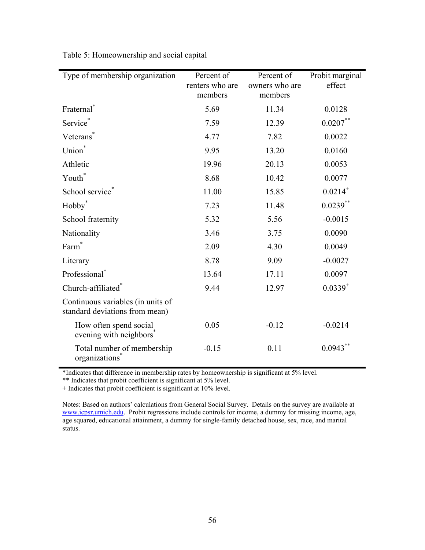| Type of membership organization                                     | Percent of<br>renters who are<br>members | Percent of<br>owners who are<br>members | Probit marginal<br>effect |
|---------------------------------------------------------------------|------------------------------------------|-----------------------------------------|---------------------------|
| Fraternal <sup>*</sup>                                              | 5.69                                     | 11.34                                   | 0.0128                    |
| Service*                                                            | 7.59                                     | 12.39                                   | $0.0207**$                |
| Veterans <sup>*</sup>                                               | 4.77                                     | 7.82                                    | 0.0022                    |
| Union <sup>*</sup>                                                  | 9.95                                     | 13.20                                   | 0.0160                    |
| Athletic                                                            | 19.96                                    | 20.13                                   | 0.0053                    |
| Youth <sup>*</sup>                                                  | 8.68                                     | 10.42                                   | 0.0077                    |
| School service <sup>®</sup>                                         | 11.00                                    | 15.85                                   | $0.0214^{+}$              |
| Hobby <sup>*</sup>                                                  | 7.23                                     | 11.48                                   | $0.0239***$               |
| School fraternity                                                   | 5.32                                     | 5.56                                    | $-0.0015$                 |
| Nationality                                                         | 3.46                                     | 3.75                                    | 0.0090                    |
| Farm <sup>*</sup>                                                   | 2.09                                     | 4.30                                    | 0.0049                    |
| Literary                                                            | 8.78                                     | 9.09                                    | $-0.0027$                 |
| Professional <sup>*</sup>                                           | 13.64                                    | 17.11                                   | 0.0097                    |
| Church-affiliated*                                                  | 9.44                                     | 12.97                                   | $0.0339^{+}$              |
| Continuous variables (in units of<br>standard deviations from mean) |                                          |                                         |                           |
| How often spend social<br>evening with neighbors <sup>*</sup>       | 0.05                                     | $-0.12$                                 | $-0.0214$                 |
| Total number of membership<br>organizations <sup>®</sup>            | $-0.15$                                  | 0.11                                    | $0.0943***$               |

Table 5: Homeownership and social capital

\*Indicates that difference in membership rates by homeownership is significant at 5% level.

\*\* Indicates that probit coefficient is significant at 5% level.

+ Indicates that probit coefficient is significant at 10% level.

Notes: Based on authors' calculations from General Social Survey. Details on the survey are available at [www.icpsr.umich.edu.](http://www.icpsr.umich.edu/) Probit regressions include controls for income, a dummy for missing income, age, age squared, educational attainment, a dummy for single-family detached house, sex, race, and marital status.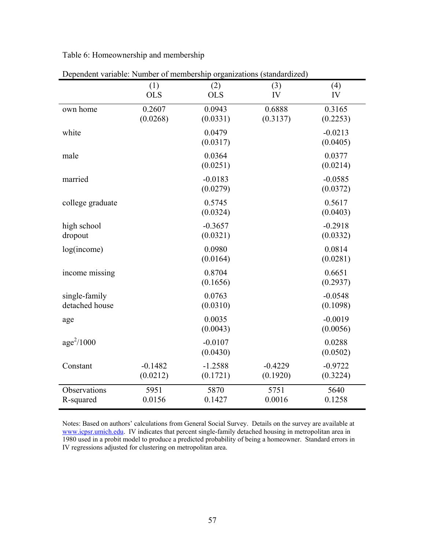Table 6: Homeownership and membership

|                                 | (1)<br><b>OLS</b>     | (2)<br><b>OLS</b>     | (3)<br>IV             | (4)<br>IV             |
|---------------------------------|-----------------------|-----------------------|-----------------------|-----------------------|
| own home                        | 0.2607<br>(0.0268)    | 0.0943<br>(0.0331)    | 0.6888<br>(0.3137)    | 0.3165<br>(0.2253)    |
| white                           |                       | 0.0479<br>(0.0317)    |                       | $-0.0213$<br>(0.0405) |
| male                            |                       | 0.0364<br>(0.0251)    |                       | 0.0377<br>(0.0214)    |
| married                         |                       | $-0.0183$<br>(0.0279) |                       | $-0.0585$<br>(0.0372) |
| college graduate                |                       | 0.5745<br>(0.0324)    |                       | 0.5617<br>(0.0403)    |
| high school<br>dropout          |                       | $-0.3657$<br>(0.0321) |                       | $-0.2918$<br>(0.0332) |
| log(income)                     |                       | 0.0980<br>(0.0164)    |                       | 0.0814<br>(0.0281)    |
| income missing                  |                       | 0.8704<br>(0.1656)    |                       | 0.6651<br>(0.2937)    |
| single-family<br>detached house |                       | 0.0763<br>(0.0310)    |                       | $-0.0548$<br>(0.1098) |
| age                             |                       | 0.0035<br>(0.0043)    |                       | $-0.0019$<br>(0.0056) |
| $age^2/1000$                    |                       | $-0.0107$<br>(0.0430) |                       | 0.0288<br>(0.0502)    |
| Constant                        | $-0.1482$<br>(0.0212) | $-1.2588$<br>(0.1721) | $-0.4229$<br>(0.1920) | $-0.9722$<br>(0.3224) |
| Observations<br>R-squared       | 5951<br>0.0156        | 5870<br>0.1427        | 5751<br>0.0016        | 5640<br>0.1258        |

Dependent variable: Number of membership organizations (standardized)

Notes: Based on authors' calculations from General Social Survey. Details on the survey are available at [www.icpsr.umich.edu.](http://www.icpsr.umich.edu/) IV indicates that percent single-family detached housing in metropolitan area in 1980 used in a probit model to produce a predicted probability of being a homeowner. Standard errors in IV regressions adjusted for clustering on metropolitan area.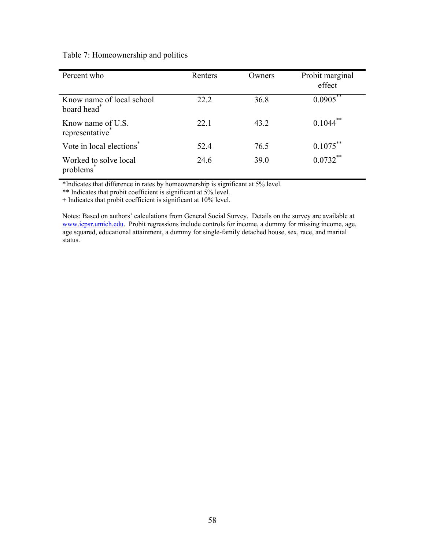| Percent who                                          | Renters | Owners | Probit marginal<br>effect |
|------------------------------------------------------|---------|--------|---------------------------|
| Know name of local school<br>board head <sup>*</sup> | 22.2    | 36.8   | $0.0905***$               |
| Know name of U.S.<br>representative*                 | 22.1    | 43.2   | $0.1044$ **               |
| Vote in local elections <sup>*</sup>                 | 52.4    | 76.5   | $0.1075***$               |
| Worked to solve local<br>problems <sup>*</sup>       | 24.6    | 39.0   | $0.0732***$               |

### Table 7: Homeownership and politics

\*Indicates that difference in rates by homeownership is significant at 5% level.

\*\* Indicates that probit coefficient is significant at 5% level.

+ Indicates that probit coefficient is significant at 10% level.

Notes: Based on authors' calculations from General Social Survey. Details on the survey are available at [www.icpsr.umich.edu.](http://www.icpsr.umich.edu/) Probit regressions include controls for income, a dummy for missing income, age, age squared, educational attainment, a dummy for single-family detached house, sex, race, and marital status.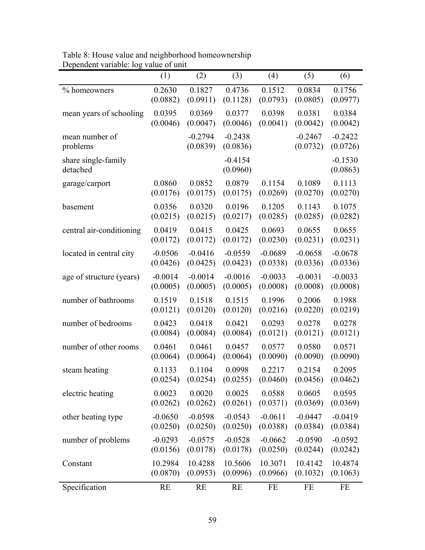| Dependent variable. 105         | value of all to<br>(1) | (2)                   | (3)                   | (4)       | (5)                   | (6)                   |
|---------------------------------|------------------------|-----------------------|-----------------------|-----------|-----------------------|-----------------------|
| % homeowners                    | 0.2630                 | 0.1827                | 0.4736                | 0.1512    | 0.0834                | 0.1756                |
|                                 | (0.0882)               | (0.0911)              | (0.1128)              | (0.0793)  | (0.0805)              | (0.0977)              |
| mean years of schooling         | 0.0395                 | 0.0369                | 0.0377                | 0.0398    | 0.0381                | 0.0384                |
|                                 | (0.0046)               | (0.0047)              | (0.0046)              | (0.0041)  | (0.0042)              | (0.0042)              |
| mean number of<br>problems      |                        | $-0.2794$<br>(0.0839) | $-0.2438$<br>(0.0836) |           | $-0.2467$<br>(0.0732) | $-0.2422$<br>(0.0726) |
| share single-family<br>detached |                        |                       | $-0.4154$<br>(0.0960) |           |                       | $-0.1530$<br>(0.0863) |
| garage/carport                  | 0.0860                 | 0.0852                | 0.0879                | 0.1154    | 0.1089                | 0.1113                |
|                                 | (0.0176)               | (0.0175)              | (0.0175)              | (0.0269)  | (0.0270)              | (0.0270)              |
| basement                        | 0.0356                 | 0.0320                | 0.0196                | 0.1205    | 0.1143                | 0.1075                |
|                                 | (0.0215)               | (0.0215)              | (0.0217)              | (0.0285)  | (0.0285)              | (0.0282)              |
| central air-conditioning        | 0.0419                 | 0.0415                | 0.0425                | 0.0693    | 0.0655                | 0.0655                |
|                                 | (0.0172)               | (0.0172)              | (0.0172)              | (0.0230)  | (0.0231)              | (0.0231)              |
| located in central city         | $-0.0506$              | $-0.0416$             | $-0.0559$             | $-0.0689$ | $-0.0658$             | $-0.0678$             |
|                                 | (0.0426)               | (0.0425)              | (0.0423)              | (0.0338)  | (0.0336)              | (0.0336)              |
| age of structure (years)        | $-0.0014$              | $-0.0014$             | $-0.0016$             | $-0.0033$ | $-0.0031$             | $-0.0033$             |
|                                 | (0.0005)               | (0.0005)              | (0.0005)              | (0.0008)  | (0.0008)              | (0.0008)              |
| number of bathrooms             | 0.1519                 | 0.1518                | 0.1515                | 0.1996    | 0.2006                | 0.1988                |
|                                 | (0.0121)               | (0.0120)              | (0.0120)              | (0.0216)  | (0.0220)              | (0.0219)              |
| number of bedrooms              | 0.0423                 | 0.0418                | 0.0421                | 0.0293    | 0.0278                | 0.0278                |
|                                 | (0.0084)               | (0.0084)              | (0.0084)              | (0.0121)  | (0.0121)              | (0.0121)              |
| number of other rooms           | 0.0461                 | 0.0461                | 0.0457                | 0.0577    | 0.0580                | 0.0571                |
|                                 | (0.0064)               | (0.0064)              | (0.0064)              | (0.0090)  | (0.0090)              | (0.0090)              |
| steam heating                   | 0.1133                 | 0.1104                | 0.0998                | 0.2217    | 0.2154                | 0.2095                |
|                                 | (0.0254)               | (0.0254)              | (0.0255)              | (0.0460)  | (0.0456)              | (0.0462)              |
| electric heating                | 0.0023                 | 0.0020                | 0.0025                | 0.0588    | 0.0605                | 0.0595                |
|                                 | (0.0262)               | (0.0262)              | (0.0261)              | (0.0371)  | (0.0369)              | (0.0369)              |
| other heating type              | $-0.0650$              | $-0.0598$             | $-0.0543$             | $-0.0611$ | $-0.0447$             | $-0.0419$             |
|                                 | (0.0250)               | (0.0250)              | (0.0250)              | (0.0388)  | (0.0384)              | (0.0384)              |
| number of problems              | $-0.0293$              | $-0.0575$             | $-0.0528$             | $-0.0662$ | $-0.0590$             | $-0.0592$             |
|                                 | (0.0156)               | (0.0178)              | (0.0178)              | (0.0250)  | (0.0244)              | (0.0242)              |
| Constant                        | 10.2984                | 10.4288               | 10.5606               | 10.3071   | 10.4142               | 10.4874               |
|                                 | (0.0870)               | (0.0953)              | (0.0996)              | (0.0966)  | (0.1032)              | (0.1063)              |
| Specification                   | <b>RE</b>              | <b>RE</b>             | <b>RE</b>             | FE        | FE                    | FE                    |

Table 8: House value and neighborhood homeownership Dependent variable: log value of unit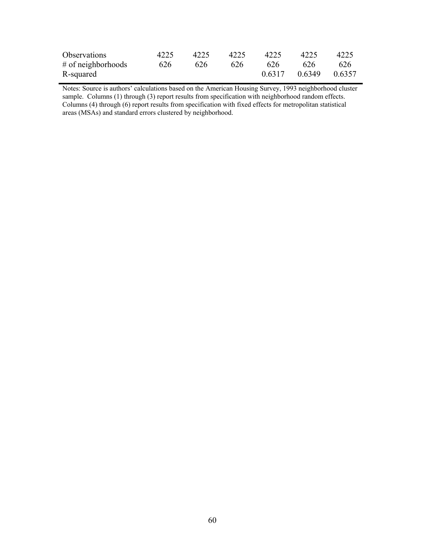| Observations         | 4225 | 4225 | 4225 | 4225   | 4225          | 4225 |
|----------------------|------|------|------|--------|---------------|------|
| $#$ of neighborhoods | 626  | 626  | 626  | 626    | 626           | 626  |
| R-squared            |      |      |      | 0.6317 | 0.6349 0.6357 |      |

Notes: Source is authors' calculations based on the American Housing Survey, 1993 neighborhood cluster sample. Columns (1) through (3) report results from specification with neighborhood random effects. Columns (4) through (6) report results from specification with fixed effects for metropolitan statistical areas (MSAs) and standard errors clustered by neighborhood.